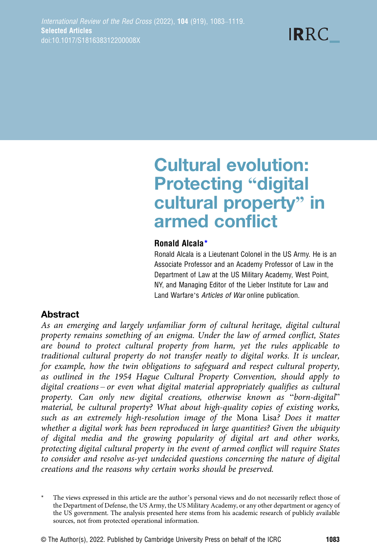# Cultural evolution: **Protecting "digital** cultural property" in armed conflict

#### Ronald Alcala\*

Ronald Alcala is a Lieutenant Colonel in the US Army. He is an Associate Professor and an Academy Professor of Law in the Department of Law at the US Military Academy, West Point, NY, and Managing Editor of the Lieber Institute for Law and Land Warfare's Articles of War online publication.

## **Abstract**

As an emerging and largely unfamiliar form of cultural heritage, digital cultural property remains something of an enigma. Under the law of armed conflict, States are bound to protect cultural property from harm, yet the rules applicable to traditional cultural property do not transfer neatly to digital works. It is unclear, for example, how the twin obligations to safeguard and respect cultural property, as outlined in the 1954 Hague Cultural Property Convention, should apply to digital creations – or even what digital material appropriately qualifies as cultural property. Can only new digital creations, otherwise known as "born-digital" material, be cultural property? What about high-quality copies of existing works, such as an extremely high-resolution image of the Mona Lisa? Does it matter whether a digital work has been reproduced in large quantities? Given the ubiquity of digital media and the growing popularity of digital art and other works, protecting digital cultural property in the event of armed conflict will require States to consider and resolve as-yet undecided questions concerning the nature of digital creations and the reasons why certain works should be preserved.

The views expressed in this article are the author's personal views and do not necessarily reflect those of the Department of Defense, the US Army, the US Military Academy, or any other department or agency of the US government. The analysis presented here stems from his academic research of publicly available sources, not from protected operational information.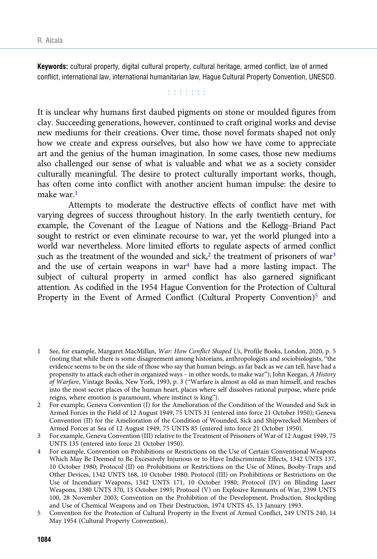Keywords: cultural property, digital cultural property, cultural heritage, armed conflict, law of armed conflict, international law, international humanitarian law, Hague Cultural Property Convention, UNESCO.

**Editorial** 

It is unclear why humans first daubed pigments on stone or moulded figures from clay. Succeeding generations, however, continued to craft original works and devise new mediums for their creations. Over time, those novel formats shaped not only how we create and express ourselves, but also how we have come to appreciate art and the genius of the human imagination. In some cases, those new mediums also challenged our sense of what is valuable and what we as a society consider culturally meaningful. The desire to protect culturally important works, though, has often come into conflict with another ancient human impulse: the desire to make war $<sup>1</sup>$ </sup>

Attempts to moderate the destructive effects of conflict have met with varying degrees of success throughout history. In the early twentieth century, for example, the Covenant of the League of Nations and the Kellogg–Briand Pact sought to restrict or even eliminate recourse to war, yet the world plunged into a world war nevertheless. More limited efforts to regulate aspects of armed conflict such as the treatment of the wounded and sick,<sup>2</sup> the treatment of prisoners of war<sup>3</sup> and the use of certain weapons in war<sup>4</sup> have had a more lasting impact. The subject of cultural property in armed conflict has also garnered significant attention. As codified in the 1954 Hague Convention for the Protection of Cultural Property in the Event of Armed Conflict (Cultural Property Convention)<sup>5</sup> and

<sup>1</sup> See, for example, Margaret MacMillan, War: How Conflict Shaped Us, Profile Books, London, 2020, p. 5 (noting that while there is some disagreement among historians, anthropologists and sociobiologists, "the evidence seems to be on the side of those who say that human beings, as far back as we can tell, have had a propensity to attack each other in organized ways – in other words, to make war"); John Keegan, A History of Warfare, Vintage Books, New York, 1993, p. 3 ("Warfare is almost as old as man himself, and reaches into the most secret places of the human heart, places where self dissolves rational purpose, where pride reigns, where emotion is paramount, where instinct is king").

<sup>2</sup> For example, Geneva Convention (I) for the Amelioration of the Condition of the Wounded and Sick in Armed Forces in the Field of 12 August 1949, 75 UNTS 31 (entered into force 21 October 1950); Geneva Convention (II) for the Amelioration of the Condition of Wounded, Sick and Shipwrecked Members of Armed Forces at Sea of 12 August 1949, 75 UNTS 85 (entered into force 21 October 1950).

<sup>3</sup> For example, Geneva Convention (III) relative to the Treatment of Prisoners of War of 12 August 1949, 75 UNTS 135 (entered into force 21 October 1950).

<sup>4</sup> For example, Convention on Prohibitions or Restrictions on the Use of Certain Conventional Weapons Which May Be Deemed to Be Excessively Injurious or to Have Indiscriminate Effects, 1342 UNTS 137, 10 October 1980; Protocol (II) on Prohibitions or Restrictions on the Use of Mines, Booby-Traps and Other Devices, 1342 UNTS 168, 10 October 1980; Protocol (III) on Prohibitions or Restrictions on the Use of Incendiary Weapons, 1342 UNTS 171, 10 October 1980; Protocol (IV) on Blinding Laser Weapons, 1380 UNTS 370, 13 October 1995; Protocol (V) on Explosive Remnants of War, 2399 UNTS 100, 28 November 2003; Convention on the Prohibition of the Development, Production, Stockpiling and Use of Chemical Weapons and on Their Destruction, 1974 UNTS 45, 13 January 1993.

<sup>5</sup> Convention for the Protection of Cultural Property in the Event of Armed Conflict, 249 UNTS 240, 14 May 1954 (Cultural Property Convention).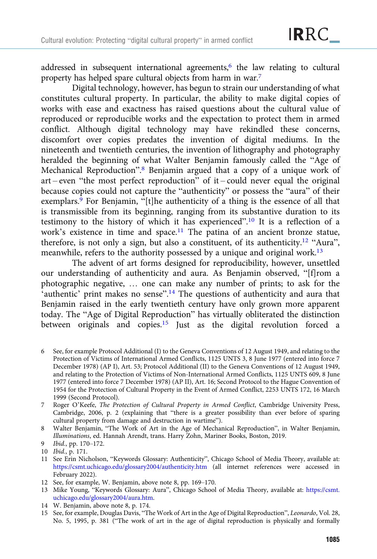addressed in subsequent international agreements, $6$  the law relating to cultural property has helped spare cultural objects from harm in war.7

Digital technology, however, has begun to strain our understanding of what constitutes cultural property. In particular, the ability to make digital copies of works with ease and exactness has raised questions about the cultural value of reproduced or reproducible works and the expectation to protect them in armed conflict. Although digital technology may have rekindled these concerns, discomfort over copies predates the invention of digital mediums. In the nineteenth and twentieth centuries, the invention of lithography and photography heralded the beginning of what Walter Benjamin famously called the "Age of Mechanical Reproduction".<sup>8</sup> Benjamin argued that a copy of a unique work of art – even "the most perfect reproduction" of it – could never equal the original because copies could not capture the "authenticity" or possess the "aura" of their exemplars.<sup>9</sup> For Benjamin, "[t]he authenticity of a thing is the essence of all that is transmissible from its beginning, ranging from its substantive duration to its testimony to the history of which it has experienced".<sup>10</sup> It is a reflection of a work's existence in time and space.<sup>11</sup> The patina of an ancient bronze statue, therefore, is not only a sign, but also a constituent, of its authenticity.12 "Aura", meanwhile, refers to the authority possessed by a unique and original work.<sup>13</sup>

The advent of art forms designed for reproducibility, however, unsettled our understanding of authenticity and aura. As Benjamin observed, "[f]rom a photographic negative, … one can make any number of prints; to ask for the 'authentic' print makes no sense".<sup>14</sup> The questions of authenticity and aura that Benjamin raised in the early twentieth century have only grown more apparent today. The "Age of Digital Reproduction" has virtually obliterated the distinction between originals and copies.15 Just as the digital revolution forced a

- 6 See, for example Protocol Additional (I) to the Geneva Conventions of 12 August 1949, and relating to the Protection of Victims of International Armed Conflicts, 1125 UNTS 3, 8 June 1977 (entered into force 7 December 1978) (AP I), Art. 53; Protocol Additional (II) to the Geneva Conventions of 12 August 1949, and relating to the Protection of Victims of Non-International Armed Conflicts, 1125 UNTS 609, 8 June 1977 (entered into force 7 December 1978) (AP II), Art. 16; Second Protocol to the Hague Convention of 1954 for the Protection of Cultural Property in the Event of Armed Conflict, 2253 UNTS 172, 16 March 1999 (Second Protocol).
- 7 Roger O'Keefe, The Protection of Cultural Property in Armed Conflict, Cambridge University Press, Cambridge, 2006, p. 2 (explaining that "there is a greater possibility than ever before of sparing cultural property from damage and destruction in wartime").
- 8 Walter Benjamin, "The Work of Art in the Age of Mechanical Reproduction", in Walter Benjamin, Illuminations, ed. Hannah Arendt, trans. Harry Zohn, Mariner Books, Boston, 2019.
- 9 Ibid., pp. 170–172.
- 10 Ibid., p. 171.
- 11 See Erin Nicholson, "Keywords Glossary: Authenticity", Chicago School of Media Theory, available at: <https://csmt.uchicago.edu/glossary2004/authenticity.htm> (all internet references were accessed in February 2022).
- 12 See, for example, W. Benjamin, above note 8, pp. 169–170.
- 13 Mike Young, "Keywords Glossary: Aura", Chicago School of Media Theory, available at: [https://csmt.](https://csmt.uchicago.edu/glossary2004/aura.htm) [uchicago.edu/glossary2004/aura.htm](https://csmt.uchicago.edu/glossary2004/aura.htm).
- 14 W. Benjamin, above note 8, p. 174.
- 15 See, for example, Douglas Davis, "The Work of Art in the Age of Digital Reproduction", Leonardo, Vol. 28, No. 5, 1995, p. 381 ("The work of art in the age of digital reproduction is physically and formally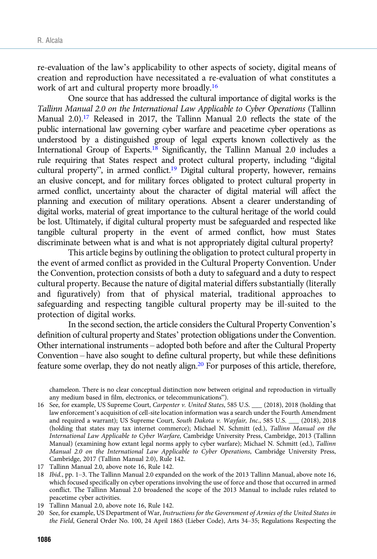re-evaluation of the law's applicability to other aspects of society, digital means of creation and reproduction have necessitated a re-evaluation of what constitutes a work of art and cultural property more broadly.16

One source that has addressed the cultural importance of digital works is the Tallinn Manual 2.0 on the International Law Applicable to Cyber Operations (Tallinn Manual 2.0).<sup>17</sup> Released in 2017, the Tallinn Manual 2.0 reflects the state of the public international law governing cyber warfare and peacetime cyber operations as understood by a distinguished group of legal experts known collectively as the International Group of Experts.18 Significantly, the Tallinn Manual 2.0 includes a rule requiring that States respect and protect cultural property, including "digital cultural property", in armed conflict.<sup>19</sup> Digital cultural property, however, remains an elusive concept, and for military forces obligated to protect cultural property in armed conflict, uncertainty about the character of digital material will affect the planning and execution of military operations. Absent a clearer understanding of digital works, material of great importance to the cultural heritage of the world could be lost. Ultimately, if digital cultural property must be safeguarded and respected like tangible cultural property in the event of armed conflict, how must States discriminate between what is and what is not appropriately digital cultural property?

This article begins by outlining the obligation to protect cultural property in the event of armed conflict as provided in the Cultural Property Convention. Under the Convention, protection consists of both a duty to safeguard and a duty to respect cultural property. Because the nature of digital material differs substantially (literally and figuratively) from that of physical material, traditional approaches to safeguarding and respecting tangible cultural property may be ill-suited to the protection of digital works.

In the second section, the article considers the Cultural Property Convention's definition of cultural property and States' protection obligations under the Convention. Other international instruments – adopted both before and after the Cultural Property Convention – have also sought to define cultural property, but while these definitions feature some overlap, they do not neatly align.<sup>20</sup> For purposes of this article, therefore,

chameleon. There is no clear conceptual distinction now between original and reproduction in virtually any medium based in film, electronics, or telecommunications").

- 18 Ibid., pp. 1–3. The Tallinn Manual 2.0 expanded on the work of the 2013 Tallinn Manual, above note 16, which focused specifically on cyber operations involving the use of force and those that occurred in armed conflict. The Tallinn Manual 2.0 broadened the scope of the 2013 Manual to include rules related to peacetime cyber activities.
- 19 Tallinn Manual 2.0, above note 16, Rule 142.
- 20 See, for example, US Department of War, Instructions for the Government of Armies of the United States in the Field, General Order No. 100, 24 April 1863 (Lieber Code), Arts 34–35; Regulations Respecting the

<sup>16</sup> See, for example, US Supreme Court, Carpenter v. United States, 585 U.S. \_\_ (2018), 2018 (holding that law enforcement's acquisition of cell-site location information was a search under the Fourth Amendment and required a warrant); US Supreme Court, South Dakota v. Wayfair, Inc., 585 U.S. \_\_ (2018), 2018 (holding that states may tax internet commerce); Michael N. Schmitt (ed.), Tallinn Manual on the International Law Applicable to Cyber Warfare, Cambridge University Press, Cambridge, 2013 (Tallinn Manual) (examining how extant legal norms apply to cyber warfare); Michael N. Schmitt (ed.), Tallinn Manual 2.0 on the International Law Applicable to Cyber Operations, Cambridge University Press, Cambridge, 2017 (Tallinn Manual 2.0), Rule 142.

<sup>17</sup> Tallinn Manual 2.0, above note 16, Rule 142.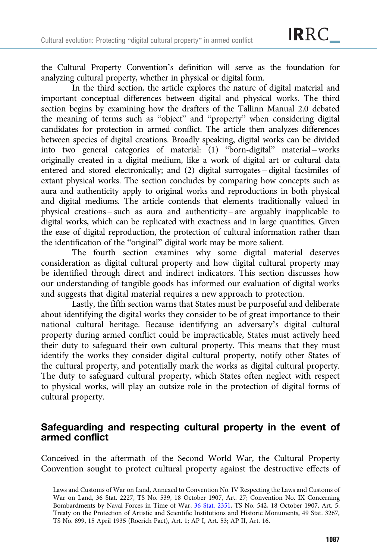the Cultural Property Convention's definition will serve as the foundation for analyzing cultural property, whether in physical or digital form.

In the third section, the article explores the nature of digital material and important conceptual differences between digital and physical works. The third section begins by examining how the drafters of the Tallinn Manual 2.0 debated the meaning of terms such as "object" and "property" when considering digital candidates for protection in armed conflict. The article then analyzes differences between species of digital creations. Broadly speaking, digital works can be divided into two general categories of material: (1) "born-digital" material – works originally created in a digital medium, like a work of digital art or cultural data entered and stored electronically; and (2) digital surrogates – digital facsimiles of extant physical works. The section concludes by comparing how concepts such as aura and authenticity apply to original works and reproductions in both physical and digital mediums. The article contends that elements traditionally valued in physical creations – such as aura and authenticity – are arguably inapplicable to digital works, which can be replicated with exactness and in large quantities. Given the ease of digital reproduction, the protection of cultural information rather than the identification of the "original" digital work may be more salient.

The fourth section examines why some digital material deserves consideration as digital cultural property and how digital cultural property may be identified through direct and indirect indicators. This section discusses how our understanding of tangible goods has informed our evaluation of digital works and suggests that digital material requires a new approach to protection.

Lastly, the fifth section warns that States must be purposeful and deliberate about identifying the digital works they consider to be of great importance to their national cultural heritage. Because identifying an adversary's digital cultural property during armed conflict could be impracticable, States must actively heed their duty to safeguard their own cultural property. This means that they must identify the works they consider digital cultural property, notify other States of the cultural property, and potentially mark the works as digital cultural property. The duty to safeguard cultural property, which States often neglect with respect to physical works, will play an outsize role in the protection of digital forms of cultural property.

## Safeguarding and respecting cultural property in the event of armed conflict

Conceived in the aftermath of the Second World War, the Cultural Property Convention sought to protect cultural property against the destructive effects of

Laws and Customs of War on Land, Annexed to Convention No. IV Respecting the Laws and Customs of War on Land, 36 Stat. 2227, TS No. 539, 18 October 1907, Art. 27; Convention No. IX Concerning Bombardments by Naval Forces in Time of War, [36 Stat. 2351,](http://www.lexisnexis.com:80/lnacui2api/mungo/lexseestat.do?bct=A&risb=21_T20334390403&homeCsi=237721&A=0.14021811789670802&urlEnc=ISO-8859-1&&citeString=36%20Stat.%202351&countryCode=USA&_md5=00000000000000000000000000000000) TS No. 542, 18 October 1907, Art. 5; Treaty on the Protection of Artistic and Scientific Institutions and Historic Monuments, 49 Stat. 3267, TS No. 899, 15 April 1935 (Roerich Pact), Art. 1; AP I, Art. 53; AP II, Art. 16.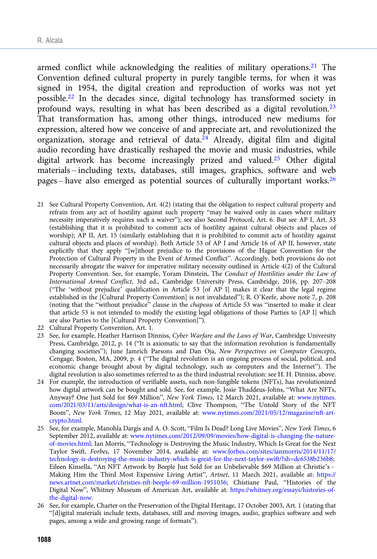armed conflict while acknowledging the realities of military operations.<sup>21</sup> The Convention defined cultural property in purely tangible terms, for when it was signed in 1954, the digital creation and reproduction of works was not yet possible.22 In the decades since, digital technology has transformed society in profound ways, resulting in what has been described as a digital revolution.<sup>23</sup> That transformation has, among other things, introduced new mediums for expression, altered how we conceive of and appreciate art, and revolutionized the organization, storage and retrieval of data. $^{24}$  Already, digital film and digital audio recording have drastically reshaped the movie and music industries, while digital artwork has become increasingly prized and valued.25 Other digital materials – including texts, databases, still images, graphics, software and web pages – have also emerged as potential sources of culturally important works.<sup>26</sup>

- 21 See Cultural Property Convention, Art. 4(2) (stating that the obligation to respect cultural property and refrain from any act of hostility against such property "may be waived only in cases where military necessity imperatively requires such a waiver"); see also Second Protocol, Art. 6. But see AP I, Art. 53 (establishing that it is prohibited to commit acts of hostility against cultural objects and places of worship); AP II, Art. 15 (similarly establishing that it is prohibited to commit acts of hostility against cultural objects and places of worship). Both Article 53 of AP I and Article 16 of AP II, however, state explicitly that they apply "[w]ithout prejudice to the provisions of the Hague Convention for the Protection of Cultural Property in the Event of Armed Conflict". Accordingly, both provisions do not necessarily abrogate the waiver for imperative military necessity outlined in Article 4(2) of the Cultural Property Convention. See, for example, Yoram Dinstein, The Conduct of Hostilities under the Law of International Armed Conflict, 3rd ed., Cambridge University Press, Cambridge, 2016, pp. 207–208 ("The 'without prejudice' qualification in Article 53 [of AP I] makes it clear that the legal regime established in the [Cultural Property Convention] is not invalidated"); R. O'Keefe, above note 7, p. 208 (noting that the "without prejudice" clause in the chapeau of Article 53 was "inserted to make it clear that article 53 is not intended to modify the existing legal obligations of those Parties to [AP I] which are also Parties to the [Cultural Property Convention]").
- 22 Cultural Property Convention, Art. 1.
- 23 See, for example, Heather Harrison Dinniss, Cyber Warfare and the Laws of War, Cambridge University Press, Cambridge, 2012, p. 14 ("It is axiomatic to say that the information revolution is fundamentally changing societies"); June Jamrich Parsons and Dan Oja, New Perspectives on Computer Concepts, Cengage, Boston, MA, 2009, p. 4 ("The digital revolution is an ongoing process of social, political, and economic change brought about by digital technology, such as computers and the Internet"). The digital revolution is also sometimes referred to as the third industrial revolution: see H. H. Dinniss, above.
- 24 For example, the introduction of verifiable assets, such non-fungible tokens (NFTs), has revolutionized how digital artwork can be bought and sold. See, for example, Josie Thaddeus-Johns, "What Are NFTs, Anyway? One Just Sold for \$69 Million", New York Times, 12 March 2021, available at: [www.nytimes.](https://www.nytimes.com/2021/03/11/arts/design/what-is-an-nft.html) [com/2021/03/11/arts/design/what-is-an-nft.html](https://www.nytimes.com/2021/03/11/arts/design/what-is-an-nft.html); Clive Thompson, "The Untold Story of the NFT Boom", New York Times, 12 May 2021, available at: [www.nytimes.com/2021/05/12/magazine/nft-art](https://www.nytimes.com/2021/05/12/magazine/nft-art-crypto.html)[crypto.html.](https://www.nytimes.com/2021/05/12/magazine/nft-art-crypto.html)
- 25 See, for example, Manohla Dargis and A. O. Scott, "Film Is Dead? Long Live Movies", New York Times, 6 September 2012, available at: [www.nytimes.com/2012/09/09/movies/how-digital-is-changing-the-nature](https://www.nytimes.com/2012/09/09/movies/how-digital-is-changing-the-nature-of-movies.html)[of-movies.html;](https://www.nytimes.com/2012/09/09/movies/how-digital-is-changing-the-nature-of-movies.html) Ian Morris, "Technology is Destroying the Music Industry, Which Is Great for the Next Taylor Swift, Forbes, 17 November 2014, available at: [www.forbes.com/sites/ianmorris/2014/11/17/](https://www.forbes.com/sites/ianmorris/2014/11/17/technology-is-destroying-the-music-industry-which-is-great-for-the-next-taylor-swift/?sh=dc6538b236b8) [technology-is-destroying-the-music-industry-which-is-great-for-the-next-taylor-swift/?sh=dc6538b236b8](https://www.forbes.com/sites/ianmorris/2014/11/17/technology-is-destroying-the-music-industry-which-is-great-for-the-next-taylor-swift/?sh=dc6538b236b8); Eileen Kinsella, "An NFT Artwork by Beeple Just Sold for an Unbelievable \$69 Million at Christie's – Making Him the Third Most Expensive Living Artist", Artnet, 11 March 2021, available at: [https://](https://news.artnet.com/market/christies-nft-beeple-69-million-1951036) [news.artnet.com/market/christies-nft-beeple-69-million-1951036;](https://news.artnet.com/market/christies-nft-beeple-69-million-1951036) Chistiane Paul, "Histories of the Digital Now", Whitney Museum of American Art, available at: [https://whitney.org/essays/histories-of](https://whitney.org/essays/histories-of-the-digital-now)[the-digital-now.](https://whitney.org/essays/histories-of-the-digital-now)
- 26 See, for example, Charter on the Preservation of the Digital Heritage, 17 October 2003, Art. 1 (stating that "[d]igital materials include texts, databases, still and moving images, audio, graphics software and web pages, among a wide and growing range of formats").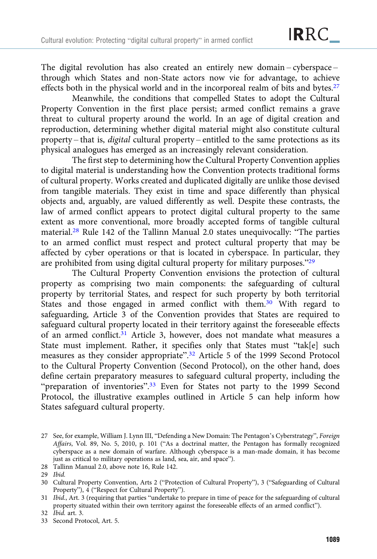The digital revolution has also created an entirely new domain – cyberspace – through which States and non-State actors now vie for advantage, to achieve effects both in the physical world and in the incorporeal realm of bits and bytes.<sup>27</sup>

Meanwhile, the conditions that compelled States to adopt the Cultural Property Convention in the first place persist; armed conflict remains a grave threat to cultural property around the world. In an age of digital creation and reproduction, determining whether digital material might also constitute cultural property – that is, digital cultural property – entitled to the same protections as its physical analogues has emerged as an increasingly relevant consideration.

The first step to determining how the Cultural Property Convention applies to digital material is understanding how the Convention protects traditional forms of cultural property. Works created and duplicated digitally are unlike those devised from tangible materials. They exist in time and space differently than physical objects and, arguably, are valued differently as well. Despite these contrasts, the law of armed conflict appears to protect digital cultural property to the same extent as more conventional, more broadly accepted forms of tangible cultural material.28 Rule 142 of the Tallinn Manual 2.0 states unequivocally: "The parties to an armed conflict must respect and protect cultural property that may be affected by cyber operations or that is located in cyberspace. In particular, they are prohibited from using digital cultural property for military purposes."<sup>29</sup>

The Cultural Property Convention envisions the protection of cultural property as comprising two main components: the safeguarding of cultural property by territorial States, and respect for such property by both territorial States and those engaged in armed conflict with them.30 With regard to safeguarding, Article 3 of the Convention provides that States are required to safeguard cultural property located in their territory against the foreseeable effects of an armed conflict.<sup>31</sup> Article 3, however, does not mandate what measures a State must implement. Rather, it specifies only that States must "tak[e] such measures as they consider appropriate".<sup>32</sup> Article 5 of the 1999 Second Protocol to the Cultural Property Convention (Second Protocol), on the other hand, does define certain preparatory measures to safeguard cultural property, including the "preparation of inventories".<sup>33</sup> Even for States not party to the 1999 Second Protocol, the illustrative examples outlined in Article 5 can help inform how States safeguard cultural property.

<sup>27</sup> See, for example, William J. Lynn III, "Defending a New Domain: The Pentagon's Cyberstrategy", Foreign Affairs, Vol. 89, No. 5, 2010, p. 101 ("As a doctrinal matter, the Pentagon has formally recognized cyberspace as a new domain of warfare. Although cyberspace is a man-made domain, it has become just as critical to military operations as land, sea, air, and space").

<sup>28</sup> Tallinn Manual 2.0, above note 16, Rule 142.

<sup>29</sup> Ibid.

<sup>30</sup> Cultural Property Convention, Arts 2 ("Protection of Cultural Property"), 3 ("Safeguarding of Cultural Property"), 4 ("Respect for Cultural Property").

<sup>31</sup> Ibid., Art. 3 (requiring that parties "undertake to prepare in time of peace for the safeguarding of cultural property situated within their own territory against the foreseeable effects of an armed conflict").

<sup>32</sup> Ibid. art. 3.

<sup>33</sup> Second Protocol, Art. 5.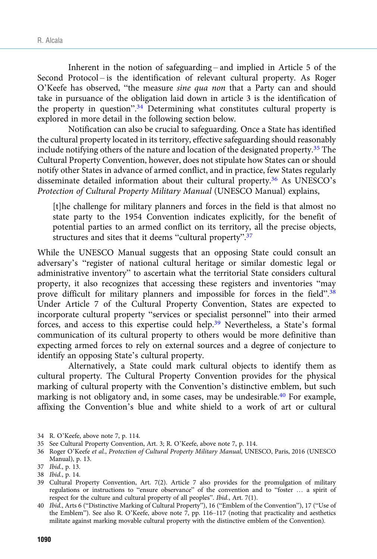Inherent in the notion of safeguarding – and implied in Article 5 of the Second Protocol – is the identification of relevant cultural property. As Roger O'Keefe has observed, "the measure sine qua non that a Party can and should take in pursuance of the obligation laid down in article 3 is the identification of the property in question".<sup>34</sup> Determining what constitutes cultural property is explored in more detail in the following section below.

Notification can also be crucial to safeguarding. Once a State has identified the cultural property located in its territory, effective safeguarding should reasonably include notifying others of the nature and location of the designated property.35 The Cultural Property Convention, however, does not stipulate how States can or should notify other States in advance of armed conflict, and in practice, few States regularly disseminate detailed information about their cultural property.36 As UNESCO's Protection of Cultural Property Military Manual (UNESCO Manual) explains,

[t]he challenge for military planners and forces in the field is that almost no state party to the 1954 Convention indicates explicitly, for the benefit of potential parties to an armed conflict on its territory, all the precise objects, structures and sites that it deems "cultural property".<sup>37</sup>

While the UNESCO Manual suggests that an opposing State could consult an adversary's "register of national cultural heritage or similar domestic legal or administrative inventory" to ascertain what the territorial State considers cultural property, it also recognizes that accessing these registers and inventories "may prove difficult for military planners and impossible for forces in the field".<sup>38</sup> Under Article 7 of the Cultural Property Convention, States are expected to incorporate cultural property "services or specialist personnel" into their armed forces, and access to this expertise could help.39 Nevertheless, a State's formal communication of its cultural property to others would be more definitive than expecting armed forces to rely on external sources and a degree of conjecture to identify an opposing State's cultural property.

Alternatively, a State could mark cultural objects to identify them as cultural property. The Cultural Property Convention provides for the physical marking of cultural property with the Convention's distinctive emblem, but such marking is not obligatory and, in some cases, may be undesirable.<sup>40</sup> For example, affixing the Convention's blue and white shield to a work of art or cultural

40 Ibid., Arts 6 ("Distinctive Marking of Cultural Property"), 16 ("Emblem of the Convention"), 17 ("Use of the Emblem"). See also R. O'Keefe, above note 7, pp. 116–117 (noting that practicality and aesthetics militate against marking movable cultural property with the distinctive emblem of the Convention).

<sup>34</sup> R. O'Keefe, above note 7, p. 114.

<sup>35</sup> See Cultural Property Convention, Art. 3; R. O'Keefe, above note 7, p. 114.

<sup>36</sup> Roger O'Keefe et al., Protection of Cultural Property Military Manual, UNESCO, Paris, 2016 (UNESCO Manual), p. 13.

<sup>37</sup> Ibid., p. 13.

<sup>38</sup> Ibid., p. 14.

<sup>39</sup> Cultural Property Convention, Art. 7(2). Article 7 also provides for the promulgation of military regulations or instructions to "ensure observance" of the convention and to "foster … a spirit of respect for the culture and cultural property of all peoples". Ibid., Art. 7(1).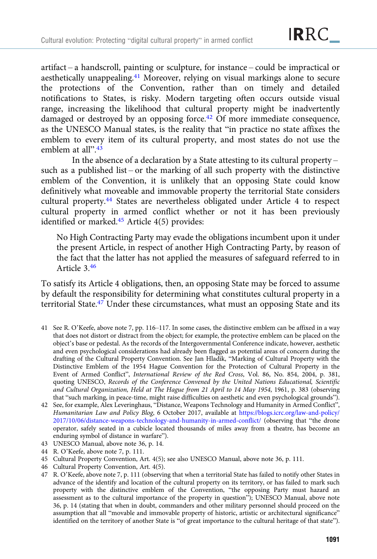artifact – a handscroll, painting or sculpture, for instance – could be impractical or aesthetically unappealing.<sup>41</sup> Moreover, relying on visual markings alone to secure the protections of the Convention, rather than on timely and detailed notifications to States, is risky. Modern targeting often occurs outside visual range, increasing the likelihood that cultural property might be inadvertently damaged or destroyed by an opposing force.<sup>42</sup> Of more immediate consequence, as the UNESCO Manual states, is the reality that "in practice no state affixes the emblem to every item of its cultural property, and most states do not use the emblem at all".<sup>43</sup>

In the absence of a declaration by a State attesting to its cultural property – such as a published list – or the marking of all such property with the distinctive emblem of the Convention, it is unlikely that an opposing State could know definitively what moveable and immovable property the territorial State considers cultural property.44 States are nevertheless obligated under Article 4 to respect cultural property in armed conflict whether or not it has been previously identified or marked.45 Article 4(5) provides:

No High Contracting Party may evade the obligations incumbent upon it under the present Article, in respect of another High Contracting Party, by reason of the fact that the latter has not applied the measures of safeguard referred to in Article 3.46

To satisfy its Article 4 obligations, then, an opposing State may be forced to assume by default the responsibility for determining what constitutes cultural property in a territorial State.47 Under these circumstances, what must an opposing State and its

- 41 See R. O'Keefe, above note 7, pp. 116–117. In some cases, the distinctive emblem can be affixed in a way that does not distort or distract from the object; for example, the protective emblem can be placed on the object's base or pedestal. As the records of the Intergovernmental Conference indicate, however, aesthetic and even psychological considerations had already been flagged as potential areas of concern during the drafting of the Cultural Property Convention. See Jan Hladik, "Marking of Cultural Property with the Distinctive Emblem of the 1954 Hague Convention for the Protection of Cultural Property in the Event of Armed Conflict", International Review of the Red Cross, Vol. 86, No. 854, 2004, p. 381, quoting UNESCO, Records of the Conference Convened by the United Nations Educational, Scientific and Cultural Organization, Held at The Hague from 21 April to 14 May 1954, 1961, p. 383 (observing that "such marking, in peace-time, might raise difficulties on aesthetic and even psychological grounds").
- 42 See, for example, Alex Leveringhaus, "Distance, Weapons Technology and Humanity in Armed Conflict", Humanitarian Law and Policy Blog, 6 October 2017, available at [https://blogs.icrc.org/law-and-policy/](https://blogs.icrc.org/law-and-policy/2017/10/06/distance-weapons-technology-and-humanity-in-armed-conflict/) [2017/10/06/distance-weapons-technology-and-humanity-in-armed-conflict/](https://blogs.icrc.org/law-and-policy/2017/10/06/distance-weapons-technology-and-humanity-in-armed-conflict/) (observing that "the drone operator, safely seated in a cubicle located thousands of miles away from a theatre, has become an enduring symbol of distance in warfare").
- 43 UNESCO Manual, above note 36, p. 14.
- 44 R. O'Keefe, above note 7, p. 111.
- 45 Cultural Property Convention, Art. 4(5); see also UNESCO Manual, above note 36, p. 111.
- 46 Cultural Property Convention, Art. 4(5).
- 47 R. O'Keefe, above note 7, p. 111 (observing that when a territorial State has failed to notify other States in advance of the identify and location of the cultural property on its territory, or has failed to mark such property with the distinctive emblem of the Convention, "the opposing Party must hazard an assessment as to the cultural importance of the property in question"); UNESCO Manual, above note 36, p. 14 (stating that when in doubt, commanders and other military personnel should proceed on the assumption that all "movable and immovable property of historic, artistic or architectural significance" identified on the territory of another State is "of great importance to the cultural heritage of that state").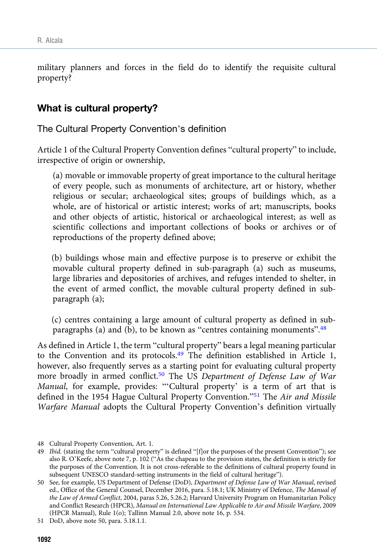military planners and forces in the field do to identify the requisite cultural property?

## What is cultural property?

The Cultural Property Convention's definition

Article 1 of the Cultural Property Convention defines "cultural property" to include, irrespective of origin or ownership,

(a) movable or immovable property of great importance to the cultural heritage of every people, such as monuments of architecture, art or history, whether religious or secular; archaeological sites; groups of buildings which, as a whole, are of historical or artistic interest; works of art; manuscripts, books and other objects of artistic, historical or archaeological interest; as well as scientific collections and important collections of books or archives or of reproductions of the property defined above;

(b) buildings whose main and effective purpose is to preserve or exhibit the movable cultural property defined in sub-paragraph (a) such as museums, large libraries and depositories of archives, and refuges intended to shelter, in the event of armed conflict, the movable cultural property defined in subparagraph (a);

(c) centres containing a large amount of cultural property as defined in subparagraphs (a) and (b), to be known as "centres containing monuments". 48

As defined in Article 1, the term "cultural property" bears a legal meaning particular to the Convention and its protocols.49 The definition established in Article 1, however, also frequently serves as a starting point for evaluating cultural property more broadly in armed conflict.<sup>50</sup> The US Department of Defense Law of War Manual, for example, provides: "'Cultural property' is a term of art that is defined in the 1954 Hague Cultural Property Convention."<sup>51</sup> The Air and Missile Warfare Manual adopts the Cultural Property Convention's definition virtually

<sup>48</sup> Cultural Property Convention, Art. 1.

<sup>49</sup> Ibid. (stating the term "cultural property" is defined "[f]or the purposes of the present Convention"); see also R. O'Keefe, above note 7, p. 102 ("As the chapeau to the provision states, the definition is strictly for the purposes of the Convention. It is not cross-referable to the definitions of cultural property found in subsequent UNESCO standard-setting instruments in the field of cultural heritage").

<sup>50</sup> See, for example, US Department of Defense (DoD), Department of Defense Law of War Manual, revised ed., Office of the General Counsel, December 2016, para. 5.18.1; UK Ministry of Defence, The Manual of the Law of Armed Conflict, 2004, paras 5.26, 5.26.2; Harvard University Program on Humanitarian Policy and Conflict Research (HPCR), Manual on International Law Applicable to Air and Missile Warfare, 2009 (HPCR Manual), Rule 1(o); Tallinn Manual 2.0, above note 16, p. 534.

<sup>51</sup> DoD, above note 50, para. 5.18.1.1.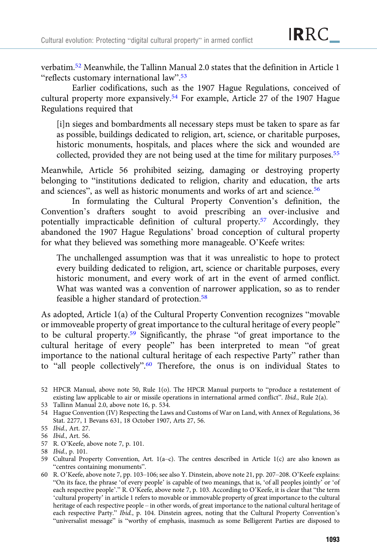verbatim.52 Meanwhile, the Tallinn Manual 2.0 states that the definition in Article 1 "reflects customary international law".<sup>53</sup>

Earlier codifications, such as the 1907 Hague Regulations, conceived of cultural property more expansively.54 For example, Article 27 of the 1907 Hague Regulations required that

[i]n sieges and bombardments all necessary steps must be taken to spare as far as possible, buildings dedicated to religion, art, science, or charitable purposes, historic monuments, hospitals, and places where the sick and wounded are collected, provided they are not being used at the time for military purposes.<sup>55</sup>

Meanwhile, Article 56 prohibited seizing, damaging or destroying property belonging to "institutions dedicated to religion, charity and education, the arts and sciences", as well as historic monuments and works of art and science.<sup>56</sup>

In formulating the Cultural Property Convention's definition, the Convention's drafters sought to avoid prescribing an over-inclusive and potentially impracticable definition of cultural property.57 Accordingly, they abandoned the 1907 Hague Regulations' broad conception of cultural property for what they believed was something more manageable. O'Keefe writes:

The unchallenged assumption was that it was unrealistic to hope to protect every building dedicated to religion, art, science or charitable purposes, every historic monument, and every work of art in the event of armed conflict. What was wanted was a convention of narrower application, so as to render feasible a higher standard of protection.58

As adopted, Article 1(a) of the Cultural Property Convention recognizes "movable or immoveable property of great importance to the cultural heritage of every people" to be cultural property.59 Significantly, the phrase "of great importance to the cultural heritage of every people" has been interpreted to mean "of great importance to the national cultural heritage of each respective Party" rather than to "all people collectively".<sup>60</sup> Therefore, the onus is on individual States to

- 53 Tallinn Manual 2.0, above note 16, p. 534.
- 54 Hague Convention (IV) Respecting the Laws and Customs of War on Land, with Annex of Regulations, 36 Stat. 2277, 1 Bevans 631, 18 October 1907, Arts 27, 56.
- 55 Ibid., Art. 27.

- 57 R. O'Keefe, above note 7, p. 101.
- 58 Ibid., p. 101.

60 R. O'Keefe, above note 7, pp. 103–106; see also Y. Dinstein, above note 21, pp. 207–208. O'Keefe explains: "On its face, the phrase 'of every people' is capable of two meanings, that is, 'of all peoples jointly' or 'of each respective people'." R. O'Keefe, above note 7, p. 103. According to O'Keefe, it is clear that "the term 'cultural property' in article 1 refers to movable or immovable property of great importance to the cultural heritage of each respective people – in other words, of great importance to the national cultural heritage of each respective Party." Ibid., p. 104. Dinstein agrees, noting that the Cultural Property Convention's "universalist message" is "worthy of emphasis, inasmuch as some Belligerent Parties are disposed to

<sup>52</sup> HPCR Manual, above note 50, Rule 1(o). The HPCR Manual purports to "produce a restatement of existing law applicable to air or missile operations in international armed conflict". Ibid., Rule 2(a).

<sup>56</sup> Ibid., Art. 56.

<sup>59</sup> Cultural Property Convention, Art. 1(a–c). The centres described in Article 1(c) are also known as "centres containing monuments".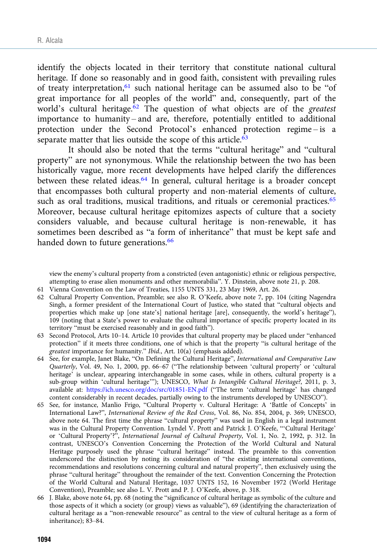identify the objects located in their territory that constitute national cultural heritage. If done so reasonably and in good faith, consistent with prevailing rules of treaty interpretation, <sup>61</sup> such national heritage can be assumed also to be "of great importance for all peoples of the world" and, consequently, part of the world's cultural heritage. $62$  The question of what objects are of the greatest importance to humanity – and are, therefore, potentially entitled to additional protection under the Second Protocol's enhanced protection regime – is a separate matter that lies outside the scope of this article.<sup>63</sup>

It should also be noted that the terms "cultural heritage" and "cultural property" are not synonymous. While the relationship between the two has been historically vague, more recent developments have helped clarify the differences between these related ideas.<sup>64</sup> In general, cultural heritage is a broader concept that encompasses both cultural property and non-material elements of culture, such as oral traditions, musical traditions, and rituals or ceremonial practices.<sup>65</sup> Moreover, because cultural heritage epitomizes aspects of culture that a society considers valuable, and because cultural heritage is non-renewable, it has sometimes been described as "a form of inheritance" that must be kept safe and handed down to future generations.<sup>66</sup>

view the enemy's cultural property from a constricted (even antagonistic) ethnic or religious perspective, attempting to erase alien monuments and other memorabilia". Y. Dinstein, above note 21, p. 208.

- 61 Vienna Convention on the Law of Treaties, 1155 UNTS 331, 23 May 1969, Art. 26.
- 62 Cultural Property Convention, Preamble; see also R. O'Keefe, above note 7, pp. 104 (citing Nagendra Singh, a former president of the International Court of Justice, who stated that "cultural objects and properties which make up [one state's] national heritage [are], consequently, the world's heritage"), 109 (noting that a State's power to evaluate the cultural importance of specific property located in its territory "must be exercised reasonably and in good faith").
- 63 Second Protocol, Arts 10–14. Article 10 provides that cultural property may be placed under "enhanced protection" if it meets three conditions, one of which is that the property "is cultural heritage of the greatest importance for humanity." Ibid., Art. 10(a) (emphasis added).
- 64 See, for example, Janet Blake, "On Defining the Cultural Heritage", International and Comparative Law Quarterly, Vol. 49, No. 1, 2000, pp. 66–67 ("The relationship between 'cultural property' or 'cultural heritage' is unclear, appearing interchangeable in some cases, while in others, cultural property is a sub-group within 'cultural heritage'"); UNESCO, What Is Intangible Cultural Heritage?, 2011, p. 3, available at: <https://ich.unesco.org/doc/src/01851-EN.pdf> ("The term 'cultural heritage' has changed content considerably in recent decades, partially owing to the instruments developed by UNESCO").
- 65 See, for instance, Manlio Frigo, "Cultural Property v. Cultural Heritage: A 'Battle of Concepts' in International Law?", International Review of the Red Cross, Vol. 86, No. 854, 2004, p. 369; UNESCO, above note 64. The first time the phrase "cultural property" was used in English in a legal instrument was in the Cultural Property Convention. Lyndel V. Prott and Patrick J. O'Keefe, "'Cultural Heritage' or 'Cultural Property'?", International Journal of Cultural Property, Vol. 1, No. 2, 1992, p. 312. In contrast, UNESCO's Convention Concerning the Protection of the World Cultural and Natural Heritage purposely used the phrase "cultural heritage" instead. The preamble to this convention underscored the distinction by noting its consideration of "the existing international conventions, recommendations and resolutions concerning cultural and natural property", then exclusively using the phrase "cultural heritage" throughout the remainder of the text. Convention Concerning the Protection of the World Cultural and Natural Heritage, 1037 UNTS 152, 16 November 1972 (World Heritage Convention), Preamble; see also L. V. Prott and P. J. O'Keefe, above, p. 318.
- 66 J. Blake, above note 64, pp. 68 (noting the "significance of cultural heritage as symbolic of the culture and those aspects of it which a society (or group) views as valuable"), 69 (identifying the characterization of cultural heritage as a "non-renewable resource" as central to the view of cultural heritage as a form of inheritance); 83–84.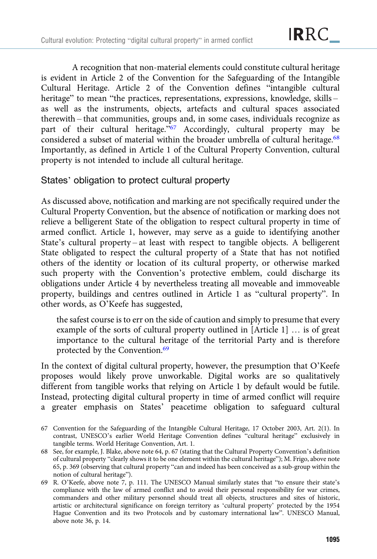A recognition that non-material elements could constitute cultural heritage is evident in Article 2 of the Convention for the Safeguarding of the Intangible Cultural Heritage. Article 2 of the Convention defines "intangible cultural heritage" to mean "the practices, representations, expressions, knowledge, skills as well as the instruments, objects, artefacts and cultural spaces associated therewith – that communities, groups and, in some cases, individuals recognize as part of their cultural heritage."<sup>67</sup> Accordingly, cultural property may be considered a subset of material within the broader umbrella of cultural heritage.<sup>68</sup> Importantly, as defined in Article 1 of the Cultural Property Convention, cultural property is not intended to include all cultural heritage.

## States' obligation to protect cultural property

As discussed above, notification and marking are not specifically required under the Cultural Property Convention, but the absence of notification or marking does not relieve a belligerent State of the obligation to respect cultural property in time of armed conflict. Article 1, however, may serve as a guide to identifying another State's cultural property – at least with respect to tangible objects. A belligerent State obligated to respect the cultural property of a State that has not notified others of the identity or location of its cultural property, or otherwise marked such property with the Convention's protective emblem, could discharge its obligations under Article 4 by nevertheless treating all moveable and immoveable property, buildings and centres outlined in Article 1 as "cultural property". In other words, as O'Keefe has suggested,

the safest course is to err on the side of caution and simply to presume that every example of the sorts of cultural property outlined in [Article 1] … is of great importance to the cultural heritage of the territorial Party and is therefore protected by the Convention.<sup>69</sup>

In the context of digital cultural property, however, the presumption that O'Keefe proposes would likely prove unworkable. Digital works are so qualitatively different from tangible works that relying on Article 1 by default would be futile. Instead, protecting digital cultural property in time of armed conflict will require a greater emphasis on States' peacetime obligation to safeguard cultural

- 68 See, for example, J. Blake, above note 64, p. 67 (stating that the Cultural Property Convention's definition of cultural property "clearly shows it to be one element within the cultural heritage"); M. Frigo, above note 65, p. 369 (observing that cultural property "can and indeed has been conceived as a sub-group within the notion of cultural heritage").
- 69 R. O'Keefe, above note 7, p. 111. The UNESCO Manual similarly states that "to ensure their state's compliance with the law of armed conflict and to avoid their personal responsibility for war crimes, commanders and other military personnel should treat all objects, structures and sites of historic, artistic or architectural significance on foreign territory as 'cultural property' protected by the 1954 Hague Convention and its two Protocols and by customary international law". UNESCO Manual, above note 36, p. 14.

<sup>67</sup> Convention for the Safeguarding of the Intangible Cultural Heritage, 17 October 2003, Art. 2(1). In contrast, UNESCO's earlier World Heritage Convention defines "cultural heritage" exclusively in tangible terms. World Heritage Convention, Art. 1.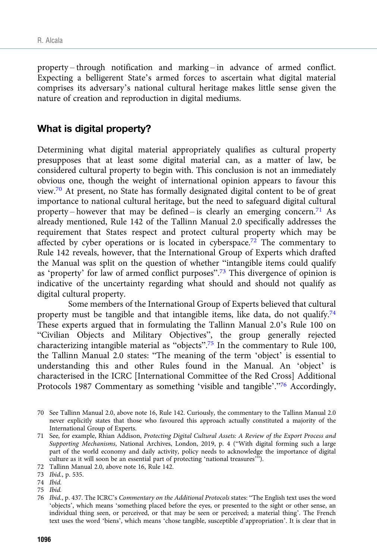property – through notification and marking – in advance of armed conflict. Expecting a belligerent State's armed forces to ascertain what digital material comprises its adversary's national cultural heritage makes little sense given the nature of creation and reproduction in digital mediums.

## What is digital property?

Determining what digital material appropriately qualifies as cultural property presupposes that at least some digital material can, as a matter of law, be considered cultural property to begin with. This conclusion is not an immediately obvious one, though the weight of international opinion appears to favour this view.70 At present, no State has formally designated digital content to be of great importance to national cultural heritage, but the need to safeguard digital cultural property – however that may be defined – is clearly an emerging concern.<sup>71</sup> As already mentioned, Rule 142 of the Tallinn Manual 2.0 specifically addresses the requirement that States respect and protect cultural property which may be affected by cyber operations or is located in cyberspace.<sup>72</sup> The commentary to Rule 142 reveals, however, that the International Group of Experts which drafted the Manual was split on the question of whether "intangible items could qualify as 'property' for law of armed conflict purposes".<sup>73</sup> This divergence of opinion is indicative of the uncertainty regarding what should and should not qualify as digital cultural property.

Some members of the International Group of Experts believed that cultural property must be tangible and that intangible items, like data, do not qualify.<sup>74</sup> These experts argued that in formulating the Tallinn Manual 2.0's Rule 100 on "Civilian Objects and Military Objectives", the group generally rejected characterizing intangible material as "objects".<sup>75</sup> In the commentary to Rule 100, the Tallinn Manual 2.0 states: "The meaning of the term 'object' is essential to understanding this and other Rules found in the Manual. An 'object' is characterised in the ICRC [International Committee of the Red Cross] Additional Protocols 1987 Commentary as something 'visible and tangible'."<sup>76</sup> Accordingly,

<sup>70</sup> See Tallinn Manual 2.0, above note 16, Rule 142. Curiously, the commentary to the Tallinn Manual 2.0 never explicitly states that those who favoured this approach actually constituted a majority of the International Group of Experts.

<sup>71</sup> See, for example, Rhian Addison, Protecting Digital Cultural Assets: A Review of the Export Process and Supporting Mechanisms, National Archives, London, 2019, p. 4 ("With digital forming such a large part of the world economy and daily activity, policy needs to acknowledge the importance of digital culture as it will soon be an essential part of protecting 'national treasures'").

<sup>72</sup> Tallinn Manual 2.0, above note 16, Rule 142.

<sup>73</sup> Ibid., p. 535.

<sup>74</sup> Ibid.

<sup>75</sup> Ibid.

<sup>76</sup> Ibid., p. 437. The ICRC's Commentary on the Additional Protocols states: "The English text uses the word 'objects', which means 'something placed before the eyes, or presented to the sight or other sense, an individual thing seen, or perceived, or that may be seen or perceived; a material thing'. The French text uses the word 'biens', which means 'chose tangible, susceptible d'appropriation'. It is clear that in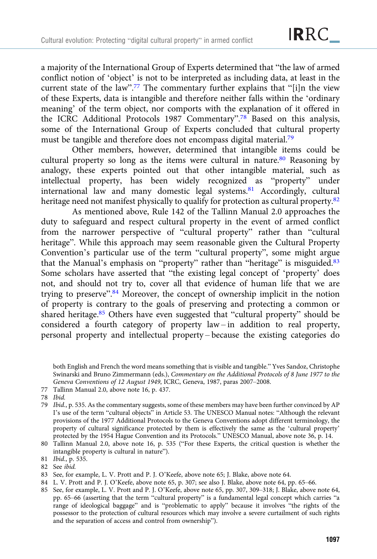a majority of the International Group of Experts determined that "the law of armed conflict notion of 'object' is not to be interpreted as including data, at least in the current state of the law".<sup>77</sup> The commentary further explains that "[i]n the view of these Experts, data is intangible and therefore neither falls within the 'ordinary meaning' of the term object, nor comports with the explanation of it offered in the ICRC Additional Protocols 1987 Commentary".<sup>78</sup> Based on this analysis, some of the International Group of Experts concluded that cultural property must be tangible and therefore does not encompass digital material.<sup>79</sup>

Other members, however, determined that intangible items could be cultural property so long as the items were cultural in nature.<sup>80</sup> Reasoning by analogy, these experts pointed out that other intangible material, such as intellectual property, has been widely recognized as "property" under international law and many domestic legal systems.81 Accordingly, cultural heritage need not manifest physically to qualify for protection as cultural property.<sup>82</sup>

As mentioned above, Rule 142 of the Tallinn Manual 2.0 approaches the duty to safeguard and respect cultural property in the event of armed conflict from the narrower perspective of "cultural property" rather than "cultural heritage". While this approach may seem reasonable given the Cultural Property Convention's particular use of the term "cultural property", some might argue that the Manual's emphasis on "property" rather than "heritage" is misguided.<sup>83</sup> Some scholars have asserted that "the existing legal concept of 'property' does not, and should not try to, cover all that evidence of human life that we are trying to preserve".<sup>84</sup> Moreover, the concept of ownership implicit in the notion of property is contrary to the goals of preserving and protecting a common or shared heritage.85 Others have even suggested that "cultural property" should be considered a fourth category of property law – in addition to real property, personal property and intellectual property – because the existing categories do

both English and French the word means something that is visible and tangible." Yves Sandoz, Christophe Swinarski and Bruno Zimmermann (eds.), Commentary on the Additional Protocols of 8 June 1977 to the Geneva Conventions of 12 August 1949, ICRC, Geneva, 1987, paras 2007–2008.

- 77 Tallinn Manual 2.0, above note 16, p. 437.
- 78 Ibid.

79 Ibid., p. 535. As the commentary suggests, some of these members may have been further convinced by AP I's use of the term "cultural objects" in Article 53. The UNESCO Manual notes: "Although the relevant provisions of the 1977 Additional Protocols to the Geneva Conventions adopt different terminology, the property of cultural significance protected by them is effectively the same as the 'cultural property' protected by the 1954 Hague Convention and its Protocols." UNESCO Manual, above note 36, p. 14.

- 82 See ibid.
- 83 See, for example, L. V. Prott and P. J. O'Keefe, above note 65; J. Blake, above note 64.
- 84 L. V. Prott and P. J. O'Keefe, above note 65, p. 307; see also J. Blake, above note 64, pp. 65–66.
- 85 See, for example, L. V. Prott and P. J. O'Keefe, above note 65, pp. 307, 309–318; J. Blake, above note 64, pp. 65–66 (asserting that the term "cultural property" is a fundamental legal concept which carries "a range of ideological baggage" and is "problematic to apply" because it involves "the rights of the possessor to the protection of cultural resources which may involve a severe curtailment of such rights and the separation of access and control from ownership").

<sup>80</sup> Tallinn Manual 2.0, above note 16, p. 535 ("For these Experts, the critical question is whether the intangible property is cultural in nature").

<sup>81</sup> Ibid., p. 535.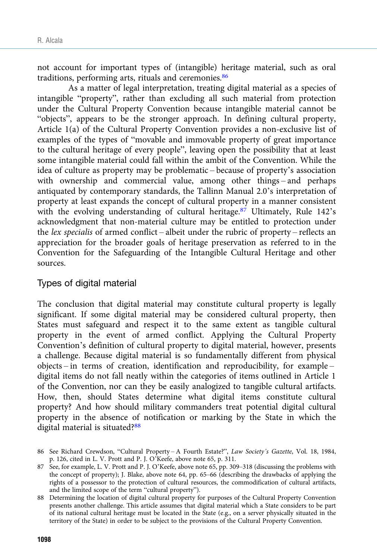not account for important types of (intangible) heritage material, such as oral traditions, performing arts, rituals and ceremonies.<sup>86</sup>

As a matter of legal interpretation, treating digital material as a species of intangible "property", rather than excluding all such material from protection under the Cultural Property Convention because intangible material cannot be "objects", appears to be the stronger approach. In defining cultural property, Article 1(a) of the Cultural Property Convention provides a non-exclusive list of examples of the types of "movable and immovable property of great importance to the cultural heritage of every people", leaving open the possibility that at least some intangible material could fall within the ambit of the Convention. While the idea of culture as property may be problematic – because of property's association with ownership and commercial value, among other things – and perhaps antiquated by contemporary standards, the Tallinn Manual 2.0's interpretation of property at least expands the concept of cultural property in a manner consistent with the evolving understanding of cultural heritage.<sup>87</sup> Ultimately, Rule 142's acknowledgment that non-material culture may be entitled to protection under the lex specialis of armed conflict – albeit under the rubric of property – reflects an appreciation for the broader goals of heritage preservation as referred to in the Convention for the Safeguarding of the Intangible Cultural Heritage and other sources.

#### Types of digital material

The conclusion that digital material may constitute cultural property is legally significant. If some digital material may be considered cultural property, then States must safeguard and respect it to the same extent as tangible cultural property in the event of armed conflict. Applying the Cultural Property Convention's definition of cultural property to digital material, however, presents a challenge. Because digital material is so fundamentally different from physical objects – in terms of creation, identification and reproducibility, for example – digital items do not fall neatly within the categories of items outlined in Article 1 of the Convention, nor can they be easily analogized to tangible cultural artifacts. How, then, should States determine what digital items constitute cultural property? And how should military commanders treat potential digital cultural property in the absence of notification or marking by the State in which the digital material is situated?88

<sup>86</sup> See Richard Crewdson, "Cultural Property – A Fourth Estate?", Law Society's Gazette, Vol. 18, 1984, p. 126, cited in L. V. Prott and P. J. O'Keefe, above note 65, p. 311.

<sup>87</sup> See, for example, L. V. Prott and P. J. O'Keefe, above note 65, pp. 309–318 (discussing the problems with the concept of property); J. Blake, above note 64, pp. 65–66 (describing the drawbacks of applying the rights of a possessor to the protection of cultural resources, the commodification of cultural artifacts, and the limited scope of the term "cultural property").

<sup>88</sup> Determining the location of digital cultural property for purposes of the Cultural Property Convention presents another challenge. This article assumes that digital material which a State considers to be part of its national cultural heritage must be located in the State (e.g., on a server physically situated in the territory of the State) in order to be subject to the provisions of the Cultural Property Convention.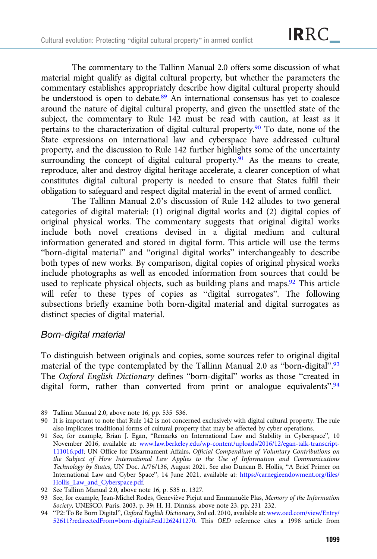The commentary to the Tallinn Manual 2.0 offers some discussion of what material might qualify as digital cultural property, but whether the parameters the commentary establishes appropriately describe how digital cultural property should be understood is open to debate.<sup>89</sup> An international consensus has yet to coalesce around the nature of digital cultural property, and given the unsettled state of the subject, the commentary to Rule 142 must be read with caution, at least as it pertains to the characterization of digital cultural property.90 To date, none of the State expressions on international law and cyberspace have addressed cultural property, and the discussion to Rule 142 further highlights some of the uncertainty surrounding the concept of digital cultural property.<sup>91</sup> As the means to create, reproduce, alter and destroy digital heritage accelerate, a clearer conception of what constitutes digital cultural property is needed to ensure that States fulfil their obligation to safeguard and respect digital material in the event of armed conflict.

The Tallinn Manual 2.0's discussion of Rule 142 alludes to two general categories of digital material: (1) original digital works and (2) digital copies of original physical works. The commentary suggests that original digital works include both novel creations devised in a digital medium and cultural information generated and stored in digital form. This article will use the terms "born-digital material" and "original digital works" interchangeably to describe both types of new works. By comparison, digital copies of original physical works include photographs as well as encoded information from sources that could be used to replicate physical objects, such as building plans and maps.<sup>92</sup> This article will refer to these types of copies as "digital surrogates". The following subsections briefly examine both born-digital material and digital surrogates as distinct species of digital material.

#### Born-digital material

To distinguish between originals and copies, some sources refer to original digital material of the type contemplated by the Tallinn Manual 2.0 as "born-digital".<sup>93</sup> The Oxford English Dictionary defines "born-digital" works as those "created in digital form, rather than converted from print or analogue equivalents".<sup>94</sup>

- 89 Tallinn Manual 2.0, above note 16, pp. 535–536.
- 90 It is important to note that Rule 142 is not concerned exclusively with digital cultural property. The rule also implicates traditional forms of cultural property that may be affected by cyber operations.
- 91 See, for example, Brian J. Egan, "Remarks on International Law and Stability in Cyberspace", 10 November 2016, available at: [www.law.berkeley.edu/wp-content/uploads/2016/12/egan-talk-transcript-](https://www.law.berkeley.edu/wp-content/uploads/2016/12/egan-talk-transcript-111016.pdf)[111016.pdf](https://www.law.berkeley.edu/wp-content/uploads/2016/12/egan-talk-transcript-111016.pdf); UN Office for Disarmament Affairs, Official Compendium of Voluntary Contributions on the Subject of How International Law Applies to the Use of Information and Communications Technology by States, UN Doc. A/76/136, August 2021. See also Duncan B. Hollis, "A Brief Primer on International Law and Cyber Space", 14 June 2021, available at: [https://carnegieendowment.org/files/](https://carnegieendowment.org/files/Hollis_Law_and_Cyberspace.pdf) [Hollis\\_Law\\_and\\_Cyberspace.pdf.](https://carnegieendowment.org/files/Hollis_Law_and_Cyberspace.pdf)
- 92 See Tallinn Manual 2.0, above note 16, p. 535 n. 1327.
- 93 See, for example, Jean-Michel Rodes, Geneviève Piejut and Emmanuèle Plas, Memory of the Information Society, UNESCO, Paris, 2003, p. 39; H. H. Dinniss, above note 23, pp. 231–232.
- 94 "P2: To Be Born Digital", Oxford English Dictionary, 3rd ed. 2010, available at: [www.oed.com/view/Entry/](https://www.oed.com/view/Entry/52611?redirectedFrom=born-digital%23eid1262411270) [52611?redirectedFrom=born-digital#eid1262411270](https://www.oed.com/view/Entry/52611?redirectedFrom=born-digital%23eid1262411270). This OED reference cites a 1998 article from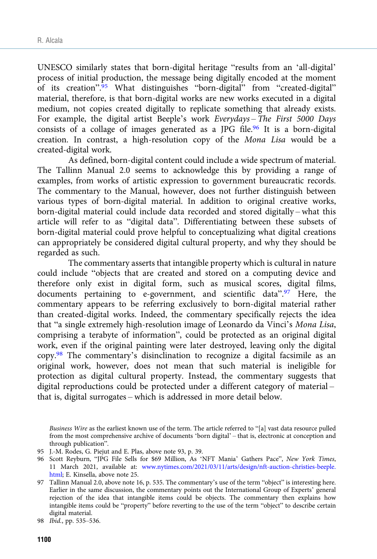UNESCO similarly states that born-digital heritage "results from an 'all-digital' process of initial production, the message being digitally encoded at the moment of its creation".<sup>95</sup> What distinguishes "born-digital" from "created-digital" material, therefore, is that born-digital works are new works executed in a digital medium, not copies created digitally to replicate something that already exists. For example, the digital artist Beeple's work Everydays – The First 5000 Days consists of a collage of images generated as a JPG file.<sup>96</sup> It is a born-digital creation. In contrast, a high-resolution copy of the Mona Lisa would be a created-digital work.

As defined, born-digital content could include a wide spectrum of material. The Tallinn Manual 2.0 seems to acknowledge this by providing a range of examples, from works of artistic expression to government bureaucratic records. The commentary to the Manual, however, does not further distinguish between various types of born-digital material. In addition to original creative works, born-digital material could include data recorded and stored digitally – what this article will refer to as "digital data". Differentiating between these subsets of born-digital material could prove helpful to conceptualizing what digital creations can appropriately be considered digital cultural property, and why they should be regarded as such.

The commentary asserts that intangible property which is cultural in nature could include "objects that are created and stored on a computing device and therefore only exist in digital form, such as musical scores, digital films, documents pertaining to e-government, and scientific data".<sup>97</sup> Here, the commentary appears to be referring exclusively to born-digital material rather than created-digital works. Indeed, the commentary specifically rejects the idea that "a single extremely high-resolution image of Leonardo da Vinci's Mona Lisa, comprising a terabyte of information", could be protected as an original digital work, even if the original painting were later destroyed, leaving only the digital copy.98 The commentary's disinclination to recognize a digital facsimile as an original work, however, does not mean that such material is ineligible for protection as digital cultural property. Instead, the commentary suggests that digital reproductions could be protected under a different category of material – that is, digital surrogates – which is addressed in more detail below.

Business Wire as the earliest known use of the term. The article referred to "[a] vast data resource pulled from the most comprehensive archive of documents 'born digital' – that is, electronic at conception and through publication".

97 Tallinn Manual 2.0, above note 16, p. 535. The commentary's use of the term "object" is interesting here. Earlier in the same discussion, the commentary points out the International Group of Experts' general rejection of the idea that intangible items could be objects. The commentary then explains how intangible items could be "property" before reverting to the use of the term "object" to describe certain digital material.

<sup>95</sup> J.-M. Rodes, G. Piejut and E. Plas, above note 93, p. 39.

<sup>96</sup> Scott Reyburn, "JPG File Sells for \$69 Million, As 'NFT Mania' Gathers Pace", New York Times, 11 March 2021, available at: [www.nytimes.com/2021/03/11/arts/design/nft-auction-christies-beeple.](https://www.nytimes.com/2021/03/11/arts/design/nft-auction-christies-beeple.html) [html;](https://www.nytimes.com/2021/03/11/arts/design/nft-auction-christies-beeple.html) E. Kinsella, above note 25.

<sup>98</sup> Ibid., pp. 535–536.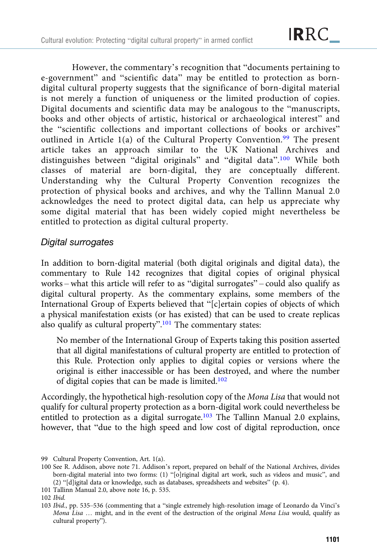However, the commentary's recognition that "documents pertaining to e-government" and "scientific data" may be entitled to protection as borndigital cultural property suggests that the significance of born-digital material is not merely a function of uniqueness or the limited production of copies. Digital documents and scientific data may be analogous to the "manuscripts, books and other objects of artistic, historical or archaeological interest" and the "scientific collections and important collections of books or archives" outlined in Article 1(a) of the Cultural Property Convention.<sup>99</sup> The present article takes an approach similar to the UK National Archives and distinguishes between "digital originals" and "digital data".<sup>100</sup> While both classes of material are born-digital, they are conceptually different. Understanding why the Cultural Property Convention recognizes the protection of physical books and archives, and why the Tallinn Manual 2.0 acknowledges the need to protect digital data, can help us appreciate why some digital material that has been widely copied might nevertheless be entitled to protection as digital cultural property.

## Digital surrogates

In addition to born-digital material (both digital originals and digital data), the commentary to Rule 142 recognizes that digital copies of original physical works – what this article will refer to as "digital surrogates" – could also qualify as digital cultural property. As the commentary explains, some members of the International Group of Experts believed that "[c]ertain copies of objects of which a physical manifestation exists (or has existed) that can be used to create replicas also qualify as cultural property".<sup>101</sup> The commentary states:

No member of the International Group of Experts taking this position asserted that all digital manifestations of cultural property are entitled to protection of this Rule. Protection only applies to digital copies or versions where the original is either inaccessible or has been destroyed, and where the number of digital copies that can be made is limited.102

Accordingly, the hypothetical high-resolution copy of the Mona Lisa that would not qualify for cultural property protection as a born-digital work could nevertheless be entitled to protection as a digital surrogate.<sup>103</sup> The Tallinn Manual 2.0 explains, however, that "due to the high speed and low cost of digital reproduction, once

101 Tallinn Manual 2.0, above note 16, p. 535.

<sup>99</sup> Cultural Property Convention, Art. 1(a).

<sup>100</sup> See R. Addison, above note 71. Addison's report, prepared on behalf of the National Archives, divides born-digital material into two forms: (1) "[o]riginal digital art work, such as videos and music", and (2) "[d]igital data or knowledge, such as databases, spreadsheets and websites" (p. 4).

<sup>102</sup> Ibid.

<sup>103</sup> Ibid., pp. 535–536 (commenting that a "single extremely high-resolution image of Leonardo da Vinci's Mona Lisa … might, and in the event of the destruction of the original Mona Lisa would, qualify as cultural property").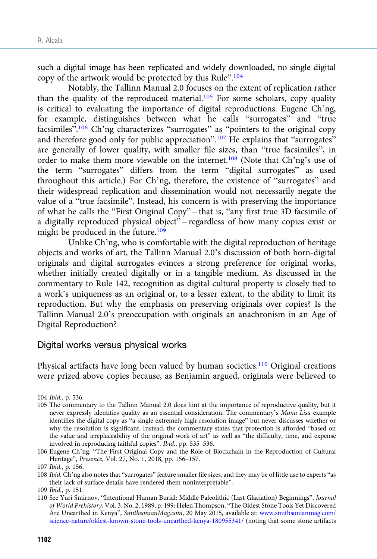such a digital image has been replicated and widely downloaded, no single digital copy of the artwork would be protected by this Rule".<sup>104</sup>

Notably, the Tallinn Manual 2.0 focuses on the extent of replication rather than the quality of the reproduced material.<sup>105</sup> For some scholars, copy quality is critical to evaluating the importance of digital reproductions. Eugene Ch'ng, for example, distinguishes between what he calls "surrogates" and "true facsimiles".<sup>106</sup> Ch'ng characterizes "surrogates" as "pointers to the original copy and therefore good only for public appreciation".<sup>107</sup> He explains that "surrogates" are generally of lower quality, with smaller file sizes, than "true facsimiles", in order to make them more viewable on the internet.108 (Note that Ch'ng's use of the term "surrogates" differs from the term "digital surrogates" as used throughout this article.) For Ch'ng, therefore, the existence of "surrogates" and their widespread replication and dissemination would not necessarily negate the value of a "true facsimile". Instead, his concern is with preserving the importance of what he calls the "First Original Copy" – that is, "any first true 3D facsimile of a digitally reproduced physical object" – regardless of how many copies exist or might be produced in the future.<sup>109</sup>

Unlike Ch'ng, who is comfortable with the digital reproduction of heritage objects and works of art, the Tallinn Manual 2.0's discussion of both born-digital originals and digital surrogates evinces a strong preference for original works, whether initially created digitally or in a tangible medium. As discussed in the commentary to Rule 142, recognition as digital cultural property is closely tied to a work's uniqueness as an original or, to a lesser extent, to the ability to limit its reproduction. But why the emphasis on preserving originals over copies? Is the Tallinn Manual 2.0's preoccupation with originals an anachronism in an Age of Digital Reproduction?

#### Digital works versus physical works

Physical artifacts have long been valued by human societies.<sup>110</sup> Original creations were prized above copies because, as Benjamin argued, originals were believed to

<sup>104</sup> Ibid., p. 536.

<sup>105</sup> The commentary to the Tallinn Manual 2.0 does hint at the importance of reproductive quality, but it never expressly identifies quality as an essential consideration. The commentary's Mona Lisa example identifies the digital copy as "a single extremely high-resolution image" but never discusses whether or why the resolution is significant. Instead, the commentary states that protection is afforded "based on the value and irreplaceability of the original work of art" as well as "the difficulty, time, and expense involved in reproducing faithful copies". Ibid., pp. 535–536.

<sup>106</sup> Eugene Ch'ng, "The First Original Copy and the Role of Blockchain in the Reproduction of Cultural Heritage", Presence, Vol. 27, No. 1, 2018, pp. 156–157.

<sup>107</sup> Ibid., p. 156.

<sup>108</sup> Ibid. Ch'ng also notes that "surrogates" feature smaller file sizes, and they may be of little use to experts "as their lack of surface details have rendered them noninterpretable".

<sup>109</sup> Ibid., p. 151.

<sup>110</sup> See Yuri Smirnov, "Intentional Human Burial: Middle Paleolithic (Last Glaciation) Beginnings", Journal of World Prehistory, Vol. 3, No. 2, 1989, p. 199; Helen Thompson, "The Oldest Stone Tools Yet Discovered Are Unearthed in Kenya", SmithsonianMag.com, 20 May 2015, available at: [www.smithsonianmag.com/](https://www.smithsonianmag.com/science-nature/oldest-known-stone-tools-unearthed-kenya-180955341/) [science-nature/oldest-known-stone-tools-unearthed-kenya-180955341/](https://www.smithsonianmag.com/science-nature/oldest-known-stone-tools-unearthed-kenya-180955341/) (noting that some stone artifacts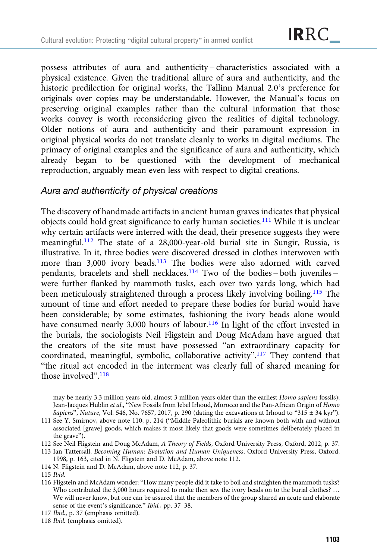possess attributes of aura and authenticity – characteristics associated with a physical existence. Given the traditional allure of aura and authenticity, and the historic predilection for original works, the Tallinn Manual 2.0's preference for originals over copies may be understandable. However, the Manual's focus on preserving original examples rather than the cultural information that those works convey is worth reconsidering given the realities of digital technology. Older notions of aura and authenticity and their paramount expression in original physical works do not translate cleanly to works in digital mediums. The primacy of original examples and the significance of aura and authenticity, which already began to be questioned with the development of mechanical reproduction, arguably mean even less with respect to digital creations.

#### Aura and authenticity of physical creations

The discovery of handmade artifacts in ancient human graves indicates that physical objects could hold great significance to early human societies.111 While it is unclear why certain artifacts were interred with the dead, their presence suggests they were meaningful.<sup>112</sup> The state of a 28,000-year-old burial site in Sungir, Russia, is illustrative. In it, three bodies were discovered dressed in clothes interwoven with more than 3,000 ivory beads.<sup>113</sup> The bodies were also adorned with carved pendants, bracelets and shell necklaces.<sup>114</sup> Two of the bodies – both juveniles – were further flanked by mammoth tusks, each over two yards long, which had been meticulously straightened through a process likely involving boiling.115 The amount of time and effort needed to prepare these bodies for burial would have been considerable; by some estimates, fashioning the ivory beads alone would have consumed nearly 3,000 hours of labour.116 In light of the effort invested in the burials, the sociologists Neil Fligstein and Doug McAdam have argued that the creators of the site must have possessed "an extraordinary capacity for coordinated, meaningful, symbolic, collaborative activity".<sup>117</sup> They contend that "the ritual act encoded in the interment was clearly full of shared meaning for those involved". 118

may be nearly 3.3 million years old, almost 3 million years older than the earliest Homo sapiens fossils); Jean-Jacques Hublin et al., "New Fossils from Jebel Irhoud, Morocco and the Pan-African Origin of Homo Sapiens", Nature, Vol. 546, No. 7657, 2017, p. 290 (dating the excavations at Irhoud to "315  $\pm$  34 kyr").

114 N. Fligstein and D. McAdam, above note 112, p. 37.

116 Fligstein and McAdam wonder: "How many people did it take to boil and straighten the mammoth tusks? Who contributed the 3,000 hours required to make then sew the ivory beads on to the burial clothes? ... We will never know, but one can be assured that the members of the group shared an acute and elaborate sense of the event's significance." Ibid., pp. 37–38.

<sup>111</sup> See Y. Smirnov, above note 110, p. 214 ("Middle Paleolithic burials are known both with and without associated [grave] goods, which makes it most likely that goods were sometimes deliberately placed in the grave").

<sup>112</sup> See Neil Fligstein and Doug McAdam, A Theory of Fields, Oxford University Press, Oxford, 2012, p. 37.

<sup>113</sup> Ian Tattersall, Becoming Human: Evolution and Human Uniqueness, Oxford University Press, Oxford, 1998, p. 163, cited in N. Fligstein and D. McAdam, above note 112.

<sup>115</sup> Ibid.

<sup>117</sup> Ibid., p. 37 (emphasis omitted).

<sup>118</sup> Ibid. (emphasis omitted).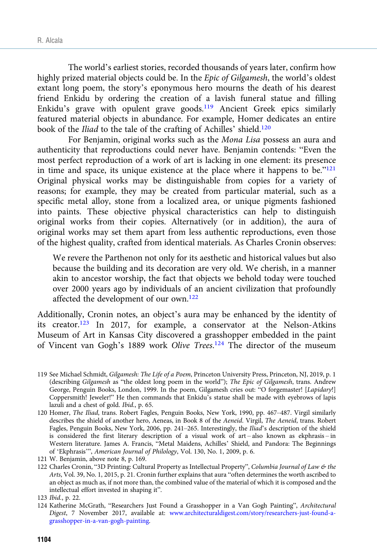The world's earliest stories, recorded thousands of years later, confirm how highly prized material objects could be. In the *Epic of Gilgamesh*, the world's oldest extant long poem, the story's eponymous hero mourns the death of his dearest friend Enkidu by ordering the creation of a lavish funeral statue and filling Enkidu's grave with opulent grave goods.<sup>119</sup> Ancient Greek epics similarly featured material objects in abundance. For example, Homer dedicates an entire book of the Iliad to the tale of the crafting of Achilles' shield.<sup>120</sup>

For Benjamin, original works such as the Mona Lisa possess an aura and authenticity that reproductions could never have. Benjamin contends: "Even the most perfect reproduction of a work of art is lacking in one element: its presence in time and space, its unique existence at the place where it happens to be." $121$ Original physical works may be distinguishable from copies for a variety of reasons; for example, they may be created from particular material, such as a specific metal alloy, stone from a localized area, or unique pigments fashioned into paints. These objective physical characteristics can help to distinguish original works from their copies. Alternatively (or in addition), the aura of original works may set them apart from less authentic reproductions, even those of the highest quality, crafted from identical materials. As Charles Cronin observes:

We revere the Parthenon not only for its aesthetic and historical values but also because the building and its decoration are very old. We cherish, in a manner akin to ancestor worship, the fact that objects we behold today were touched over 2000 years ago by individuals of an ancient civilization that profoundly affected the development of our own.122

Additionally, Cronin notes, an object's aura may be enhanced by the identity of its creator.123 In 2017, for example, a conservator at the Nelson-Atkins Museum of Art in Kansas City discovered a grasshopper embedded in the paint of Vincent van Gogh's 1889 work Olive Trees.<sup>124</sup> The director of the museum

<sup>119</sup> See Michael Schmidt, Gilgamesh: The Life of a Poem, Princeton University Press, Princeton, NJ, 2019, p. 1 (describing Gilgamesh as "the oldest long poem in the world"); The Epic of Gilgamesh, trans. Andrew George, Penguin Books, London, 1999. In the poem, Gilgamesh cries out: "O forgemaster! [Lapidary!] Coppersmith! Jeweler!" He then commands that Enkidu's statue shall be made with eyebrows of lapis lazuli and a chest of gold. Ibid., p. 65.

<sup>120</sup> Homer, The Iliad, trans. Robert Fagles, Penguin Books, New York, 1990, pp. 467-487. Virgil similarly describes the shield of another hero, Aeneas, in Book 8 of the Aeneid. Virgil, The Aeneid, trans. Robert Fagles, Penguin Books, New York, 2006, pp. 241–265. Interestingly, the Iliad's description of the shield is considered the first literary description of a visual work of art – also known as ekphrasis – in Western literature. James A. Francis, "Metal Maidens, Achilles' Shield, and Pandora: The Beginnings of 'Ekphrasis'", American Journal of Philology, Vol. 130, No. 1, 2009, p. 6.

<sup>121</sup> W. Benjamin, above note 8, p. 169.

<sup>122</sup> Charles Cronin, "3D Printing: Cultural Property as Intellectual Property", Columbia Journal of Law & the Arts, Vol. 39, No. 1, 2015, p. 21. Cronin further explains that aura "often determines the worth ascribed to an object as much as, if not more than, the combined value of the material of which it is composed and the intellectual effort invested in shaping it".

<sup>123</sup> Ibid., p. 22.

<sup>124</sup> Katherine McGrath, "Researchers Just Found a Grasshopper in a Van Gogh Painting", Architectural Digest, 7 November 2017, available at: [www.architecturaldigest.com/story/researchers-just-found-a](https://www.architecturaldigest.com/story/researchers-just-found-a-grasshopper-in-a-van-gogh-painting)[grasshopper-in-a-van-gogh-painting.](https://www.architecturaldigest.com/story/researchers-just-found-a-grasshopper-in-a-van-gogh-painting)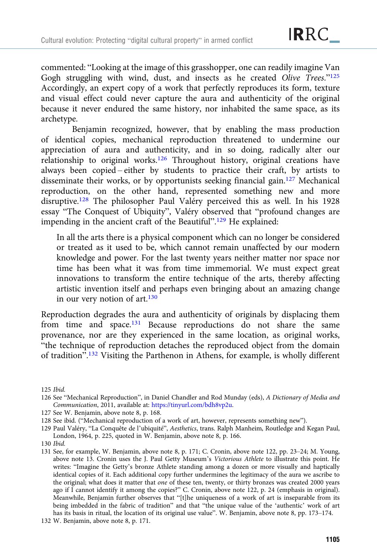commented: "Looking at the image of this grasshopper, one can readily imagine Van Gogh struggling with wind, dust, and insects as he created Olive Trees."125 Accordingly, an expert copy of a work that perfectly reproduces its form, texture and visual effect could never capture the aura and authenticity of the original because it never endured the same history, nor inhabited the same space, as its archetype.

Benjamin recognized, however, that by enabling the mass production of identical copies, mechanical reproduction threatened to undermine our appreciation of aura and authenticity, and in so doing, radically alter our relationship to original works.126 Throughout history, original creations have always been copied – either by students to practice their craft, by artists to disseminate their works, or by opportunists seeking financial gain.127 Mechanical reproduction, on the other hand, represented something new and more disruptive.128 The philosopher Paul Valéry perceived this as well. In his 1928 essay "The Conquest of Ubiquity", Valéry observed that "profound changes are impending in the ancient craft of the Beautiful".<sup>129</sup> He explained:

In all the arts there is a physical component which can no longer be considered or treated as it used to be, which cannot remain unaffected by our modern knowledge and power. For the last twenty years neither matter nor space nor time has been what it was from time immemorial. We must expect great innovations to transform the entire technique of the arts, thereby affecting artistic invention itself and perhaps even bringing about an amazing change in our very notion of art.<sup>130</sup>

Reproduction degrades the aura and authenticity of originals by displacing them from time and space.131 Because reproductions do not share the same provenance, nor are they experienced in the same location, as original works, "the technique of reproduction detaches the reproduced object from the domain of tradition".<sup>132</sup> Visiting the Parthenon in Athens, for example, is wholly different

125 Ibid.

126 See "Mechanical Reproduction", in Daniel Chandler and Rod Munday (eds), A Dictionary of Media and Communication, 2011, available at: <https://tinyurl.com/bdh8vp2u>.

127 See W. Benjamin, above note 8, p. 168.

132 W. Benjamin, above note 8, p. 171.

<sup>128</sup> See ibid. ("Mechanical reproduction of a work of art, however, represents something new").

<sup>129</sup> Paul Valéry, "La Conquête de l'ubiquité", Aesthetics, trans. Ralph Manheim, Routledge and Kegan Paul, London, 1964, p. 225, quoted in W. Benjamin, above note 8, p. 166.

<sup>130</sup> Ibid.

<sup>131</sup> See, for example, W. Benjamin, above note 8, p. 171; C. Cronin, above note 122, pp. 23–24; M. Young, above note 13. Cronin uses the J. Paul Getty Museum's Victorious Athlete to illustrate this point. He writes: "Imagine the Getty's bronze Athlete standing among a dozen or more visually and haptically identical copies of it. Each additional copy further undermines the legitimacy of the aura we ascribe to the original; what does it matter that one of these ten, twenty, or thirty bronzes was created 2000 years ago if I cannot identify it among the copies?" C. Cronin, above note 122, p. 24 (emphasis in original). Meanwhile, Benjamin further observes that "[t]he uniqueness of a work of art is inseparable from its being imbedded in the fabric of tradition" and that "the unique value of the 'authentic' work of art has its basis in ritual, the location of its original use value". W. Benjamin, above note 8, pp. 173–174.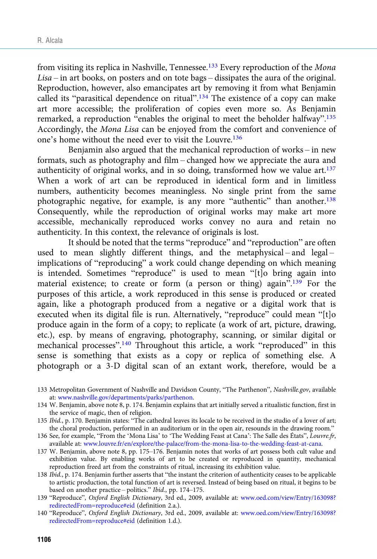from visiting its replica in Nashville, Tennessee.<sup>133</sup> Every reproduction of the Mona Lisa – in art books, on posters and on tote bags – dissipates the aura of the original. Reproduction, however, also emancipates art by removing it from what Benjamin called its "parasitical dependence on ritual".<sup>134</sup> The existence of a copy can make art more accessible; the proliferation of copies even more so. As Benjamin remarked, a reproduction "enables the original to meet the beholder halfway".<sup>135</sup> Accordingly, the Mona Lisa can be enjoyed from the comfort and convenience of one's home without the need ever to visit the Louvre.<sup>136</sup>

Benjamin also argued that the mechanical reproduction of works – in new formats, such as photography and film – changed how we appreciate the aura and authenticity of original works, and in so doing, transformed how we value  $art.^{137}$ When a work of art can be reproduced in identical form and in limitless numbers, authenticity becomes meaningless. No single print from the same photographic negative, for example, is any more "authentic" than another.<sup>138</sup> Consequently, while the reproduction of original works may make art more accessible, mechanically reproduced works convey no aura and retain no authenticity. In this context, the relevance of originals is lost.

It should be noted that the terms "reproduce" and "reproduction" are often used to mean slightly different things, and the metaphysical – and legal – implications of "reproducing" a work could change depending on which meaning is intended. Sometimes "reproduce" is used to mean "[t]o bring again into material existence; to create or form (a person or thing) again".<sup>139</sup> For the purposes of this article, a work reproduced in this sense is produced or created again, like a photograph produced from a negative or a digital work that is executed when its digital file is run. Alternatively, "reproduce" could mean "[t]o produce again in the form of a copy; to replicate (a work of art, picture, drawing, etc.), esp. by means of engraving, photography, scanning, or similar digital or mechanical processes".<sup>140</sup> Throughout this article, a work "reproduced" in this sense is something that exists as a copy or replica of something else. A photograph or a 3-D digital scan of an extant work, therefore, would be a

- 133 Metropolitan Government of Nashville and Davidson County, "The Parthenon", Nashville.gov, available at: [www.nashville.gov/departments/parks/parthenon.](https://www.nashville.gov/departments/parks/parthenon)
- 134 W. Benjamin, above note 8, p. 174. Benjamin explains that art initially served a ritualistic function, first in the service of magic, then of religion.
- 135 Ibid., p. 170. Benjamin states: "The cathedral leaves its locale to be received in the studio of a lover of art; the choral production, performed in an auditorium or in the open air, resounds in the drawing room."
- 136 See, for example, "From the 'Mona Lisa' to 'The Wedding Feast at Cana': The Salle des États", Louvre.fr, available at: [www.louvre.fr/en/explore/the-palace/from-the-mona-lisa-to-the-wedding-feast-at-cana.](https://www.louvre.fr/en/explore/the-palace/from-the-mona-lisa-to-the-wedding-feast-at-cana)
- 137 W. Benjamin, above note 8, pp. 175–176. Benjamin notes that works of art possess both cult value and exhibition value. By enabling works of art to be created or reproduced in quantity, mechanical reproduction freed art from the constraints of ritual, increasing its exhibition value.
- 138 Ibid., p. 174. Benjamin further asserts that "the instant the criterion of authenticity ceases to be applicable to artistic production, the total function of art is reversed. Instead of being based on ritual, it begins to be based on another practice – politics." Ibid., pp. 174–175.
- 139 "Reproduce", Oxford English Dictionary, 3rd ed., 2009, available at: [www.oed.com/view/Entry/163098?](https://www.oed.com/view/Entry/163098?redirectedFrom=reproduce%23eid) [redirectedFrom=reproduce#eid](https://www.oed.com/view/Entry/163098?redirectedFrom=reproduce%23eid) (definition 2.a.).
- 140 "Reproduce", Oxford English Dictionary, 3rd ed., 2009, available at: [www.oed.com/view/Entry/163098?](https://www.oed.com/view/Entry/163098?redirectedFrom=reproduce%23eid) [redirectedFrom=reproduce#eid](https://www.oed.com/view/Entry/163098?redirectedFrom=reproduce%23eid) (definition 1.d.).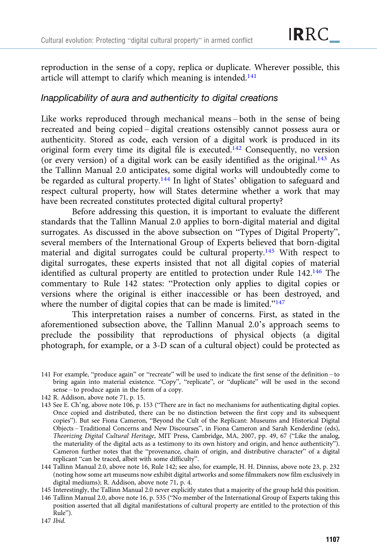reproduction in the sense of a copy, replica or duplicate. Wherever possible, this article will attempt to clarify which meaning is intended.<sup>141</sup>

### Inapplicability of aura and authenticity to digital creations

Like works reproduced through mechanical means – both in the sense of being recreated and being copied – digital creations ostensibly cannot possess aura or authenticity. Stored as code, each version of a digital work is produced in its original form every time its digital file is executed.142 Consequently, no version (or every version) of a digital work can be easily identified as the original.143 As the Tallinn Manual 2.0 anticipates, some digital works will undoubtedly come to be regarded as cultural property.<sup>144</sup> In light of States' obligation to safeguard and respect cultural property, how will States determine whether a work that may have been recreated constitutes protected digital cultural property?

Before addressing this question, it is important to evaluate the different standards that the Tallinn Manual 2.0 applies to born-digital material and digital surrogates. As discussed in the above subsection on "Types of Digital Property", several members of the International Group of Experts believed that born-digital material and digital surrogates could be cultural property.145 With respect to digital surrogates, these experts insisted that not all digital copies of material identified as cultural property are entitled to protection under Rule 142.<sup>146</sup> The commentary to Rule 142 states: "Protection only applies to digital copies or versions where the original is either inaccessible or has been destroyed, and where the number of digital copies that can be made is limited."<sup>147</sup>

This interpretation raises a number of concerns. First, as stated in the aforementioned subsection above, the Tallinn Manual 2.0's approach seems to preclude the possibility that reproductions of physical objects (a digital photograph, for example, or a 3-D scan of a cultural object) could be protected as

- 141 For example, "produce again" or "recreate" will be used to indicate the first sense of the definition to bring again into material existence. "Copy", "replicate", or "duplicate" will be used in the second sense – to produce again in the form of a copy.
- 142 R. Addison, above note 71, p. 15.
- 143 See E. Ch'ng, above note 106, p. 153 ("There are in fact no mechanisms for authenticating digital copies. Once copied and distributed, there can be no distinction between the first copy and its subsequent copies"). But see Fiona Cameron, "Beyond the Cult of the Replicant: Museums and Historical Digital Objects – Traditional Concerns and New Discourses", in Fiona Cameron and Sarah Kenderdine (eds), Theorizing Digital Cultural Heritage, MIT Press, Cambridge, MA, 2007, pp. 49, 67 ("Like the analog, the materiality of the digital acts as a testimony to its own history and origin, and hence authenticity"). Cameron further notes that the "provenance, chain of origin, and distributive character" of a digital replicant "can be traced, albeit with some difficulty".

144 Tallinn Manual 2.0, above note 16, Rule 142; see also, for example, H. H. Dinniss, above note 23, p. 232 (noting how some art museums now exhibit digital artworks and some filmmakers now film exclusively in digital mediums); R. Addison, above note 71, p. 4.

- 145 Interestingly, the Tallinn Manual 2.0 never explicitly states that a majority of the group held this position.
- 146 Tallinn Manual 2.0, above note 16, p. 535 ("No member of the International Group of Experts taking this position asserted that all digital manifestations of cultural property are entitled to the protection of this Rule").

<sup>147</sup> Ibid.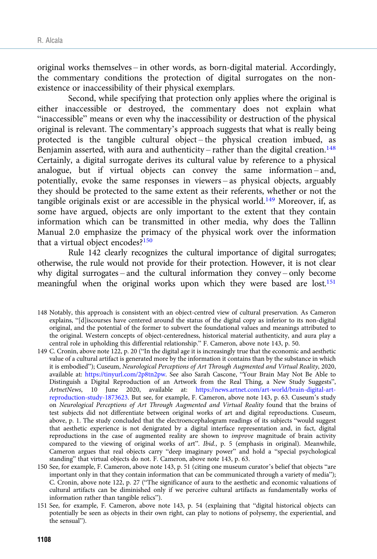original works themselves – in other words, as born-digital material. Accordingly, the commentary conditions the protection of digital surrogates on the nonexistence or inaccessibility of their physical exemplars.

Second, while specifying that protection only applies where the original is either inaccessible or destroyed, the commentary does not explain what "inaccessible" means or even why the inaccessibility or destruction of the physical original is relevant. The commentary's approach suggests that what is really being protected is the tangible cultural object – the physical creation imbued, as Benjamin asserted, with aura and authenticity – rather than the digital creation.<sup>148</sup> Certainly, a digital surrogate derives its cultural value by reference to a physical analogue, but if virtual objects can convey the same information – and, potentially, evoke the same responses in viewers – as physical objects, arguably they should be protected to the same extent as their referents, whether or not the tangible originals exist or are accessible in the physical world.<sup>149</sup> Moreover, if, as some have argued, objects are only important to the extent that they contain information which can be transmitted in other media, why does the Tallinn Manual 2.0 emphasize the primacy of the physical work over the information that a virtual object encodes?150

Rule 142 clearly recognizes the cultural importance of digital surrogates; otherwise, the rule would not provide for their protection. However, it is not clear why digital surrogates – and the cultural information they convey – only become meaningful when the original works upon which they were based are lost.<sup>151</sup>

- 148 Notably, this approach is consistent with an object-centred view of cultural preservation. As Cameron explains, "[d]iscourses have centered around the status of the digital copy as inferior to its non-digital original, and the potential of the former to subvert the foundational values and meanings attributed to the original. Western concepts of object-centeredness, historical material authenticity, and aura play a central role in upholding this differential relationship." F. Cameron, above note 143, p. 50.
- 149 C. Cronin, above note 122, p. 20 ("In the digital age it is increasingly true that the economic and aesthetic value of a cultural artifact is generated more by the information it contains than by the substance in which it is embodied"); Cuseum, Neurological Perceptions of Art Through Augmented and Virtual Reality, 2020, available at: [https://tinyurl.com/2p8tn2pw.](https://tinyurl.com/2p8tn2pw) See also Sarah Cascone, "Your Brain May Not Be Able to Distinguish a Digital Reproduction of an Artwork from the Real Thing, a New Study Suggests", ArtnetNews, 10 June 2020, available at: [https://news.artnet.com/art-world/brain-digital-art](https://news.artnet.com/art-world/brain-digital-art-reproduction-study-1873623)[reproduction-study-1873623.](https://news.artnet.com/art-world/brain-digital-art-reproduction-study-1873623) But see, for example, F. Cameron, above note 143, p. 63. Cuseum's study on Neurological Perceptions of Art Through Augmented and Virtual Reality found that the brains of test subjects did not differentiate between original works of art and digital reproductions. Cuseum, above, p. 1. The study concluded that the electroencephalogram readings of its subjects "would suggest that aesthetic experience is not denigrated by a digital interface representation and, in fact, digital reproductions in the case of augmented reality are shown to improve magnitude of brain activity compared to the viewing of original works of art". Ibid., p. 5 (emphasis in original). Meanwhile, Cameron argues that real objects carry "deep imaginary power" and hold a "special psychological standing" that virtual objects do not. F. Cameron, above note 143, p. 63.
- 150 See, for example, F. Cameron, above note 143, p. 51 (citing one museum curator's belief that objects "are important only in that they contain information that can be communicated through a variety of media"); C. Cronin, above note 122, p. 27 ("The significance of aura to the aesthetic and economic valuations of cultural artifacts can be diminished only if we perceive cultural artifacts as fundamentally works of information rather than tangible relics").
- 151 See, for example, F. Cameron, above note 143, p. 54 (explaining that "digital historical objects can potentially be seen as objects in their own right, can play to notions of polysemy, the experiential, and the sensual").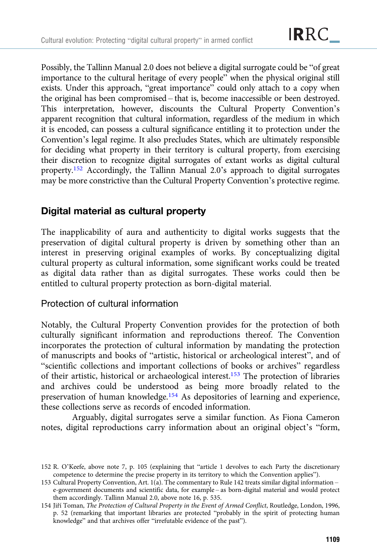Possibly, the Tallinn Manual 2.0 does not believe a digital surrogate could be "of great importance to the cultural heritage of every people" when the physical original still exists. Under this approach, "great importance" could only attach to a copy when the original has been compromised – that is, become inaccessible or been destroyed. This interpretation, however, discounts the Cultural Property Convention's apparent recognition that cultural information, regardless of the medium in which it is encoded, can possess a cultural significance entitling it to protection under the Convention's legal regime. It also precludes States, which are ultimately responsible for deciding what property in their territory is cultural property, from exercising their discretion to recognize digital surrogates of extant works as digital cultural property.152 Accordingly, the Tallinn Manual 2.0's approach to digital surrogates may be more constrictive than the Cultural Property Convention's protective regime.

# Digital material as cultural property

The inapplicability of aura and authenticity to digital works suggests that the preservation of digital cultural property is driven by something other than an interest in preserving original examples of works. By conceptualizing digital cultural property as cultural information, some significant works could be treated as digital data rather than as digital surrogates. These works could then be entitled to cultural property protection as born-digital material.

#### Protection of cultural information

Notably, the Cultural Property Convention provides for the protection of both culturally significant information and reproductions thereof. The Convention incorporates the protection of cultural information by mandating the protection of manuscripts and books of "artistic, historical or archeological interest", and of "scientific collections and important collections of books or archives" regardless of their artistic, historical or archaeological interest.153 The protection of libraries and archives could be understood as being more broadly related to the preservation of human knowledge.<sup>154</sup> As depositories of learning and experience, these collections serve as records of encoded information.

Arguably, digital surrogates serve a similar function. As Fiona Cameron notes, digital reproductions carry information about an original object's "form,

<sup>152</sup> R. O'Keefe, above note 7, p. 105 (explaining that "article 1 devolves to each Party the discretionary competence to determine the precise property in its territory to which the Convention applies").

<sup>153</sup> Cultural Property Convention, Art. 1(a). The commentary to Rule 142 treats similar digital information – e-government documents and scientific data, for example – as born-digital material and would protect them accordingly. Tallinn Manual 2.0, above note 16, p. 535.

<sup>154</sup> Jiří Toman, The Protection of Cultural Property in the Event of Armed Conflict, Routledge, London, 1996, p. 52 (remarking that important libraries are protected "probably in the spirit of protecting human knowledge" and that archives offer "irrefutable evidence of the past").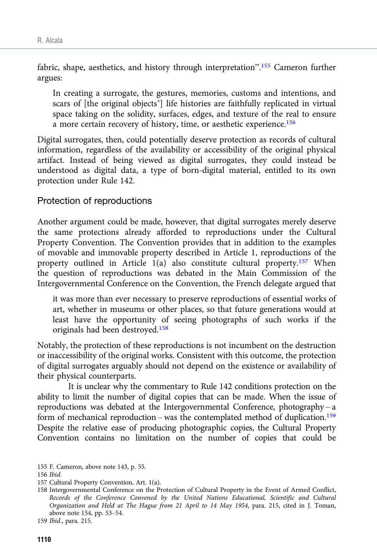fabric, shape, aesthetics, and history through interpretation".<sup>155</sup> Cameron further argues:

In creating a surrogate, the gestures, memories, customs and intentions, and scars of [the original objects'] life histories are faithfully replicated in virtual space taking on the solidity, surfaces, edges, and texture of the real to ensure a more certain recovery of history, time, or aesthetic experience.<sup>156</sup>

Digital surrogates, then, could potentially deserve protection as records of cultural information, regardless of the availability or accessibility of the original physical artifact. Instead of being viewed as digital surrogates, they could instead be understood as digital data, a type of born-digital material, entitled to its own protection under Rule 142.

#### Protection of reproductions

Another argument could be made, however, that digital surrogates merely deserve the same protections already afforded to reproductions under the Cultural Property Convention. The Convention provides that in addition to the examples of movable and immovable property described in Article 1, reproductions of the property outlined in Article 1(a) also constitute cultural property.157 When the question of reproductions was debated in the Main Commission of the Intergovernmental Conference on the Convention, the French delegate argued that

it was more than ever necessary to preserve reproductions of essential works of art, whether in museums or other places, so that future generations would at least have the opportunity of seeing photographs of such works if the originals had been destroyed.158

Notably, the protection of these reproductions is not incumbent on the destruction or inaccessibility of the original works. Consistent with this outcome, the protection of digital surrogates arguably should not depend on the existence or availability of their physical counterparts.

It is unclear why the commentary to Rule 142 conditions protection on the ability to limit the number of digital copies that can be made. When the issue of reproductions was debated at the Intergovernmental Conference, photography – a form of mechanical reproduction – was the contemplated method of duplication.<sup>159</sup> Despite the relative ease of producing photographic copies, the Cultural Property Convention contains no limitation on the number of copies that could be

<sup>155</sup> F. Cameron, above note 143, p. 55.

<sup>156</sup> Ibid.

<sup>157</sup> Cultural Property Convention, Art. 1(a).

<sup>158</sup> Intergovernmental Conference on the Protection of Cultural Property in the Event of Armed Conflict, Records of the Conference Convened by the United Nations Educational, Scientific and Cultural Organization and Held at The Hague from 21 April to 14 May 1954, para. 215, cited in J. Toman, above note 154, pp. 53–54.

<sup>159</sup> Ibid., para. 215.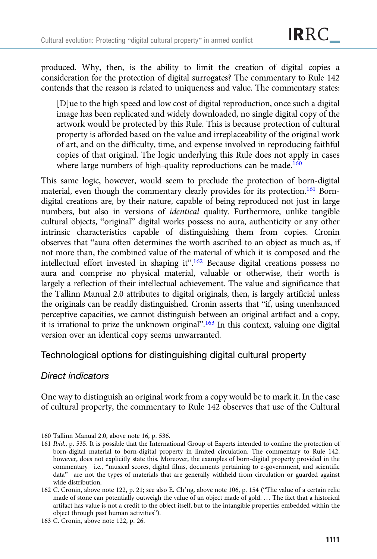produced. Why, then, is the ability to limit the creation of digital copies a consideration for the protection of digital surrogates? The commentary to Rule 142 contends that the reason is related to uniqueness and value. The commentary states:

[D]ue to the high speed and low cost of digital reproduction, once such a digital image has been replicated and widely downloaded, no single digital copy of the artwork would be protected by this Rule. This is because protection of cultural property is afforded based on the value and irreplaceability of the original work of art, and on the difficulty, time, and expense involved in reproducing faithful copies of that original. The logic underlying this Rule does not apply in cases where large numbers of high-quality reproductions can be made.<sup>160</sup>

This same logic, however, would seem to preclude the protection of born-digital material, even though the commentary clearly provides for its protection.161 Borndigital creations are, by their nature, capable of being reproduced not just in large numbers, but also in versions of identical quality. Furthermore, unlike tangible cultural objects, "original" digital works possess no aura, authenticity or any other intrinsic characteristics capable of distinguishing them from copies. Cronin observes that "aura often determines the worth ascribed to an object as much as, if not more than, the combined value of the material of which it is composed and the intellectual effort invested in shaping it".<sup>162</sup> Because digital creations possess no aura and comprise no physical material, valuable or otherwise, their worth is largely a reflection of their intellectual achievement. The value and significance that the Tallinn Manual 2.0 attributes to digital originals, then, is largely artificial unless the originals can be readily distinguished. Cronin asserts that "if, using unenhanced perceptive capacities, we cannot distinguish between an original artifact and a copy, it is irrational to prize the unknown original".<sup>163</sup> In this context, valuing one digital version over an identical copy seems unwarranted.

Technological options for distinguishing digital cultural property

## Direct indicators

One way to distinguish an original work from a copy would be to mark it. In the case of cultural property, the commentary to Rule 142 observes that use of the Cultural

<sup>160</sup> Tallinn Manual 2.0, above note 16, p. 536.

<sup>161</sup> Ibid., p. 535. It is possible that the International Group of Experts intended to confine the protection of born-digital material to born-digital property in limited circulation. The commentary to Rule 142, however, does not explicitly state this. Moreover, the examples of born-digital property provided in the commentary – i.e., "musical scores, digital films, documents pertaining to e-government, and scientific data" – are not the types of materials that are generally withheld from circulation or guarded against wide distribution.

<sup>162</sup> C. Cronin, above note 122, p. 21; see also E. Ch'ng, above note 106, p. 154 ("The value of a certain relic made of stone can potentially outweigh the value of an object made of gold. … The fact that a historical artifact has value is not a credit to the object itself, but to the intangible properties embedded within the object through past human activities").

<sup>163</sup> C. Cronin, above note 122, p. 26.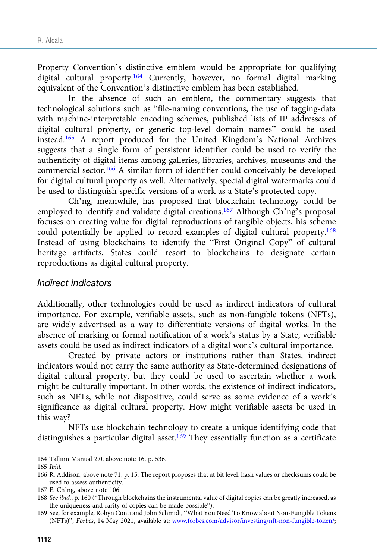Property Convention's distinctive emblem would be appropriate for qualifying digital cultural property.164 Currently, however, no formal digital marking equivalent of the Convention's distinctive emblem has been established.

In the absence of such an emblem, the commentary suggests that technological solutions such as "file-naming conventions, the use of tagging-data with machine-interpretable encoding schemes, published lists of IP addresses of digital cultural property, or generic top-level domain names" could be used instead.165 A report produced for the United Kingdom's National Archives suggests that a single form of persistent identifier could be used to verify the authenticity of digital items among galleries, libraries, archives, museums and the commercial sector.166 A similar form of identifier could conceivably be developed for digital cultural property as well. Alternatively, special digital watermarks could be used to distinguish specific versions of a work as a State's protected copy.

Ch'ng, meanwhile, has proposed that blockchain technology could be employed to identify and validate digital creations.<sup>167</sup> Although Ch'ng's proposal focuses on creating value for digital reproductions of tangible objects, his scheme could potentially be applied to record examples of digital cultural property.168 Instead of using blockchains to identify the "First Original Copy" of cultural heritage artifacts, States could resort to blockchains to designate certain reproductions as digital cultural property.

#### Indirect indicators

Additionally, other technologies could be used as indirect indicators of cultural importance. For example, verifiable assets, such as non-fungible tokens (NFTs), are widely advertised as a way to differentiate versions of digital works. In the absence of marking or formal notification of a work's status by a State, verifiable assets could be used as indirect indicators of a digital work's cultural importance.

Created by private actors or institutions rather than States, indirect indicators would not carry the same authority as State-determined designations of digital cultural property, but they could be used to ascertain whether a work might be culturally important. In other words, the existence of indirect indicators, such as NFTs, while not dispositive, could serve as some evidence of a work's significance as digital cultural property. How might verifiable assets be used in this way?

NFTs use blockchain technology to create a unique identifying code that distinguishes a particular digital asset.<sup>169</sup> They essentially function as a certificate

<sup>164</sup> Tallinn Manual 2.0, above note 16, p. 536.

<sup>165</sup> Ibid.

<sup>166</sup> R. Addison, above note 71, p. 15. The report proposes that at bit level, hash values or checksums could be used to assess authenticity.

<sup>167</sup> E. Ch'ng, above note 106.

<sup>168</sup> See ibid., p. 160 ("Through blockchains the instrumental value of digital copies can be greatly increased, as the uniqueness and rarity of copies can be made possible").

<sup>169</sup> See, for example, Robyn Conti and John Schmidt, "What You Need To Know about Non-Fungible Tokens (NFTs)", Forbes, 14 May 2021, available at: [www.forbes.com/advisor/investing/nft-non-fungible-token/;](https://www.forbes.com/advisor/investing/nft-non-fungible-token/)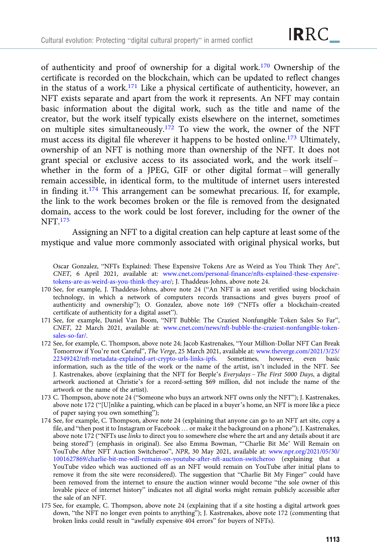of authenticity and proof of ownership for a digital work.<sup>170</sup> Ownership of the certificate is recorded on the blockchain, which can be updated to reflect changes in the status of a work.171 Like a physical certificate of authenticity, however, an NFT exists separate and apart from the work it represents. An NFT may contain basic information about the digital work, such as the title and name of the creator, but the work itself typically exists elsewhere on the internet, sometimes on multiple sites simultaneously.<sup>172</sup> To view the work, the owner of the NFT must access its digital file wherever it happens to be hosted online.<sup>173</sup> Ultimately, ownership of an NFT is nothing more than ownership of the NFT. It does not grant special or exclusive access to its associated work, and the work itself – whether in the form of a JPEG, GIF or other digital format – will generally remain accessible, in identical form, to the multitude of internet users interested in finding it.<sup>174</sup> This arrangement can be somewhat precarious. If, for example, the link to the work becomes broken or the file is removed from the designated domain, access to the work could be lost forever, including for the owner of the NFT.175

Assigning an NFT to a digital creation can help capture at least some of the mystique and value more commonly associated with original physical works, but

Oscar Gonzalez, "NFTs Explained: These Expensive Tokens Are as Weird as You Think They Are", CNET, 6 April 2021, available at: [www.cnet.com/personal-finance/nfts-explained-these-expensive](https://www.cnet.com/personal-finance/nfts-explained-these-expensive-tokens-are-as-weird-as-you-think-they-are/)[tokens-are-as-weird-as-you-think-they-are/](https://www.cnet.com/personal-finance/nfts-explained-these-expensive-tokens-are-as-weird-as-you-think-they-are/); J. Thaddeus-Johns, above note 24.

- 170 See, for example, J. Thaddeus-Johns, above note 24 ("An NFT is an asset verified using blockchain technology, in which a network of computers records transactions and gives buyers proof of authenticity and ownership"); O. Gonzalez, above note 169 ("NFTs offer a blockchain-created certificate of authenticity for a digital asset").
- 171 See, for example, Daniel Van Boom, "NFT Bubble: The Craziest Nonfungible Token Sales So Far", CNET, 22 March 2021, available at: [www.cnet.com/news/nft-bubble-the-craziest-nonfungible-token](https://www.cnet.com/news/nft-bubble-the-craziest-nonfungible-token-sales-so-far/)[sales-so-far/](https://www.cnet.com/news/nft-bubble-the-craziest-nonfungible-token-sales-so-far/).
- 172 See, for example, C. Thompson, above note 24; Jacob Kastrenakes, "Your Million-Dollar NFT Can Break Tomorrow if You're not Careful", The Verge, 25 March 2021, available at: [www.theverge.com/2021/3/25/](https://www.theverge.com/2021/3/25/22349242/nft-metadata-explained-art-crypto-urls-links-ipfs) [22349242/nft-metadata-explained-art-crypto-urls-links-ipfs.](https://www.theverge.com/2021/3/25/22349242/nft-metadata-explained-art-crypto-urls-links-ipfs) Sometimes, however, even basic information, such as the title of the work or the name of the artist, isn't included in the NFT. See J. Kastrenakes, above (explaining that the NFT for Beeple's Everydays – The First 5000 Days, a digital artwork auctioned at Christie's for a record-setting \$69 million, did not include the name of the artwork or the name of the artist).
- 173 C. Thompson, above note 24 ("Someone who buys an artwork NFT owns only the NFT"); J. Kastrenakes, above note 172 ("[U]nlike a painting, which can be placed in a buyer's home, an NFT is more like a piece of paper saying you own something");
- 174 See, for example, C. Thompson, above note 24 (explaining that anyone can go to an NFT art site, copy a file, and "then post it to Instagram or Facebook … or make it the background on a phone"); J. Kastrenakes, above note 172 ("NFTs use links to direct you to somewhere else where the art and any details about it are being stored") (emphasis in original). See also Emma Bowman, "'Charlie Bit Me' Will Remain on YouTube After NFT Auction Switcheroo", NPR, 30 May 2021, available at: [www.npr.org/2021/05/30/](https://www.npr.org/2021/05/30/1001627869/charlie-bit-me-will-remain-on-youtube-after-nft-auction-switcheroo) [1001627869/charlie-bit-me-will-remain-on-youtube-after-nft-auction-switcheroo](https://www.npr.org/2021/05/30/1001627869/charlie-bit-me-will-remain-on-youtube-after-nft-auction-switcheroo) (explaining that a YouTube video which was auctioned off as an NFT would remain on YouTube after initial plans to remove it from the site were reconsidered). The suggestion that "Charlie Bit My Finger" could have been removed from the internet to ensure the auction winner would become "the sole owner of this lovable piece of internet history" indicates not all digital works might remain publicly accessible after the sale of an NFT.
- 175 See, for example, C. Thompson, above note 24 (explaining that if a site hosting a digital artwork goes down, "the NFT no longer even points to anything"); J. Kastrenakes, above note 172 (commenting that broken links could result in "awfully expensive 404 errors" for buyers of NFTs).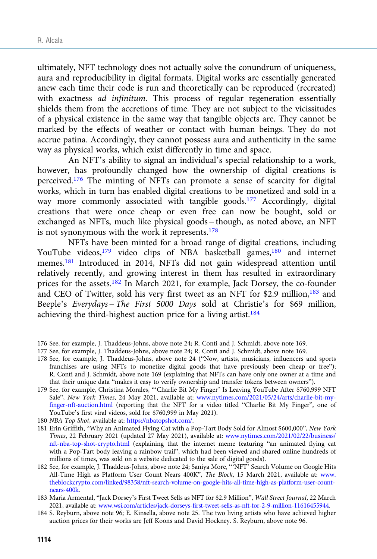ultimately, NFT technology does not actually solve the conundrum of uniqueness, aura and reproducibility in digital formats. Digital works are essentially generated anew each time their code is run and theoretically can be reproduced (recreated) with exactness ad infinitum. This process of regular regeneration essentially shields them from the accretions of time. They are not subject to the vicissitudes of a physical existence in the same way that tangible objects are. They cannot be marked by the effects of weather or contact with human beings. They do not accrue patina. Accordingly, they cannot possess aura and authenticity in the same way as physical works, which exist differently in time and space.

An NFT's ability to signal an individual's special relationship to a work, however, has profoundly changed how the ownership of digital creations is perceived.<sup>176</sup> The minting of NFTs can promote a sense of scarcity for digital works, which in turn has enabled digital creations to be monetized and sold in a way more commonly associated with tangible goods.<sup>177</sup> Accordingly, digital creations that were once cheap or even free can now be bought, sold or exchanged as NFTs, much like physical goods – though, as noted above, an NFT is not synonymous with the work it represents. $178$ 

NFTs have been minted for a broad range of digital creations, including YouTube videos,<sup>179</sup> video clips of NBA basketball games,<sup>180</sup> and internet memes.181 Introduced in 2014, NFTs did not gain widespread attention until relatively recently, and growing interest in them has resulted in extraordinary prices for the assets.<sup>182</sup> In March 2021, for example, Jack Dorsey, the co-founder and CEO of Twitter, sold his very first tweet as an NFT for \$2.9 million,<sup>183</sup> and Beeple's Everydays – The First 5000 Days sold at Christie's for \$69 million, achieving the third-highest auction price for a living artist.<sup>184</sup>

- 176 See, for example, J. Thaddeus-Johns, above note 24; R. Conti and J. Schmidt, above note 169.
- 177 See, for example, J. Thaddeus-Johns, above note 24; R. Conti and J. Schmidt, above note 169.
- 178 See, for example, J. Thaddeus-Johns, above note 24 ("Now, artists, musicians, influencers and sports franchises are using NFTs to monetize digital goods that have previously been cheap or free"); R. Conti and J. Schmidt, above note 169 (explaining that NFTs can have only one owner at a time and that their unique data "makes it easy to verify ownership and transfer tokens between owners").
- 179 See, for example, Christina Morales, "'Charlie Bit My Finger' Is Leaving YouTube After \$760,999 NFT Sale", New York Times, 24 May 2021, available at: [www.nytimes.com/2021/05/24/arts/charlie-bit-my](https://www.nytimes.com/2021/05/24/arts/charlie-bit-my-finger-nft-auction.html)[finger-nft-auction.html](https://www.nytimes.com/2021/05/24/arts/charlie-bit-my-finger-nft-auction.html) (reporting that the NFT for a video titled "Charlie Bit My Finger", one of YouTube's first viral videos, sold for \$760,999 in May 2021).
- 180 NBA Top Shot, available at: <https://nbatopshot.com/>.
- 181 Erin Griffith, "Why an Animated Flying Cat with a Pop-Tart Body Sold for Almost \$600,000", New York Times, 22 February 2021 (updated 27 May 2021), available at: [www.nytimes.com/2021/02/22/business/](https://www.nytimes.com/2021/02/22/business/nft-nba-top-shot-crypto.html) [nft-nba-top-shot-crypto.html](https://www.nytimes.com/2021/02/22/business/nft-nba-top-shot-crypto.html) (explaining that the internet meme featuring "an animated flying cat with a Pop-Tart body leaving a rainbow trail", which had been viewed and shared online hundreds of millions of times, was sold on a website dedicated to the sale of digital goods).
- 182 See, for example, J. Thaddeus-Johns, above note 24; Saniya More, "'NFT' Search Volume on Google Hits All-Time High as Platform User Count Nears 400K", The Block, 15 March 2021, available at: [www.](https://www.theblockcrypto.com/linked/98358/nft-search-volume-on-google-hits-all-time-high-as-platform-user-count-nears-400k) [theblockcrypto.com/linked/98358/nft-search-volume-on-google-hits-all-time-high-as-platform-user-count](https://www.theblockcrypto.com/linked/98358/nft-search-volume-on-google-hits-all-time-high-as-platform-user-count-nears-400k)[nears-400k.](https://www.theblockcrypto.com/linked/98358/nft-search-volume-on-google-hits-all-time-high-as-platform-user-count-nears-400k)
- 183 Maria Armental, "Jack Dorsey's First Tweet Sells as NFT for \$2.9 Million", Wall Street Journal, 22 March 2021, available at: [www.wsj.com/articles/jack-dorseys-first-tweet-sells-as-nft-for-2-9-million-11616455944](https://www.wsj.com/articles/jack-dorseys-first-tweet-sells-as-nft-for-2-9-million-11616455944).
- 184 S. Reyburn, above note 96; E. Kinsella, above note 25. The two living artists who have achieved higher auction prices for their works are Jeff Koons and David Hockney. S. Reyburn, above note 96.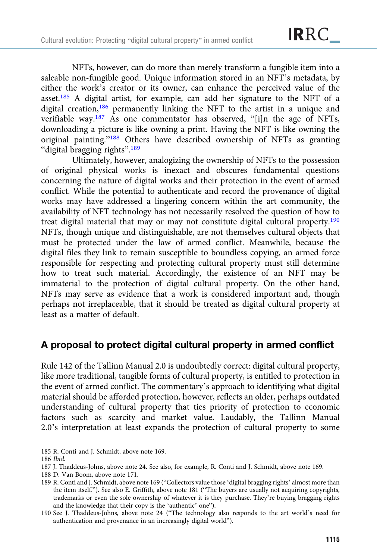NFTs, however, can do more than merely transform a fungible item into a saleable non-fungible good. Unique information stored in an NFT's metadata, by either the work's creator or its owner, can enhance the perceived value of the asset.185 A digital artist, for example, can add her signature to the NFT of a digital creation,<sup>186</sup> permanently linking the NFT to the artist in a unique and verifiable way.<sup>187</sup> As one commentator has observed, "[i]n the age of NFTs, downloading a picture is like owning a print. Having the NFT is like owning the original painting."<sup>188</sup> Others have described ownership of NFTs as granting "digital bragging rights".<sup>189</sup>

Ultimately, however, analogizing the ownership of NFTs to the possession of original physical works is inexact and obscures fundamental questions concerning the nature of digital works and their protection in the event of armed conflict. While the potential to authenticate and record the provenance of digital works may have addressed a lingering concern within the art community, the availability of NFT technology has not necessarily resolved the question of how to treat digital material that may or may not constitute digital cultural property.190 NFTs, though unique and distinguishable, are not themselves cultural objects that must be protected under the law of armed conflict. Meanwhile, because the digital files they link to remain susceptible to boundless copying, an armed force responsible for respecting and protecting cultural property must still determine how to treat such material. Accordingly, the existence of an NFT may be immaterial to the protection of digital cultural property. On the other hand, NFTs may serve as evidence that a work is considered important and, though perhaps not irreplaceable, that it should be treated as digital cultural property at least as a matter of default.

## A proposal to protect digital cultural property in armed conflict

Rule 142 of the Tallinn Manual 2.0 is undoubtedly correct: digital cultural property, like more traditional, tangible forms of cultural property, is entitled to protection in the event of armed conflict. The commentary's approach to identifying what digital material should be afforded protection, however, reflects an older, perhaps outdated understanding of cultural property that ties priority of protection to economic factors such as scarcity and market value. Laudably, the Tallinn Manual 2.0's interpretation at least expands the protection of cultural property to some

185 R. Conti and J. Schmidt, above note 169.

186 Ibid.

- 187 J. Thaddeus-Johns, above note 24. See also, for example, R. Conti and J. Schmidt, above note 169.
- 188 D. Van Boom, above note 171.
- 189 R. Conti and J. Schmidt, above note 169 ("Collectors value those 'digital bragging rights' almost more than the item itself."). See also E. Griffith, above note 181 ("The buyers are usually not acquiring copyrights, trademarks or even the sole ownership of whatever it is they purchase. They're buying bragging rights and the knowledge that their copy is the 'authentic' one").
- 190 See J. Thaddeus-Johns, above note 24 ("The technology also responds to the art world's need for authentication and provenance in an increasingly digital world").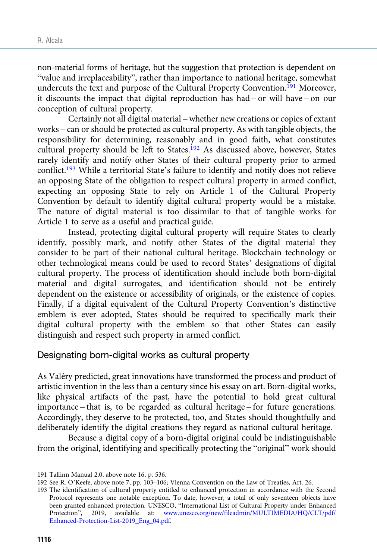non-material forms of heritage, but the suggestion that protection is dependent on "value and irreplaceability", rather than importance to national heritage, somewhat undercuts the text and purpose of the Cultural Property Convention.191 Moreover, it discounts the impact that digital reproduction has had – or will have – on our conception of cultural property.

Certainly not all digital material – whether new creations or copies of extant works – can or should be protected as cultural property. As with tangible objects, the responsibility for determining, reasonably and in good faith, what constitutes cultural property should be left to States.<sup>192</sup> As discussed above, however, States rarely identify and notify other States of their cultural property prior to armed conflict.193 While a territorial State's failure to identify and notify does not relieve an opposing State of the obligation to respect cultural property in armed conflict, expecting an opposing State to rely on Article 1 of the Cultural Property Convention by default to identify digital cultural property would be a mistake. The nature of digital material is too dissimilar to that of tangible works for Article 1 to serve as a useful and practical guide.

Instead, protecting digital cultural property will require States to clearly identify, possibly mark, and notify other States of the digital material they consider to be part of their national cultural heritage. Blockchain technology or other technological means could be used to record States' designations of digital cultural property. The process of identification should include both born-digital material and digital surrogates, and identification should not be entirely dependent on the existence or accessibility of originals, or the existence of copies. Finally, if a digital equivalent of the Cultural Property Convention's distinctive emblem is ever adopted, States should be required to specifically mark their digital cultural property with the emblem so that other States can easily distinguish and respect such property in armed conflict.

Designating born-digital works as cultural property

As Valéry predicted, great innovations have transformed the process and product of artistic invention in the less than a century since his essay on art. Born-digital works, like physical artifacts of the past, have the potential to hold great cultural importance – that is, to be regarded as cultural heritage – for future generations. Accordingly, they deserve to be protected, too, and States should thoughtfully and deliberately identify the digital creations they regard as national cultural heritage.

Because a digital copy of a born-digital original could be indistinguishable from the original, identifying and specifically protecting the "original" work should

<sup>191</sup> Tallinn Manual 2.0, above note 16, p. 536.

<sup>192</sup> See R. O'Keefe, above note 7, pp. 103–106; Vienna Convention on the Law of Treaties, Art. 26.

<sup>193</sup> The identification of cultural property entitled to enhanced protection in accordance with the Second Protocol represents one notable exception. To date, however, a total of only seventeen objects have been granted enhanced protection. UNESCO, "International List of Cultural Property under Enhanced Protection", 2019, available at: [www.unesco.org/new/fileadmin/MULTIMEDIA/HQ/CLT/pdf/](https://www.unesco.org/new/fileadmin/MULTIMEDIA/HQ/CLT/pdf/Enhanced-Protection-List-2019_Eng_04.pdf) [Enhanced-Protection-List-2019\\_Eng\\_04.pdf](https://www.unesco.org/new/fileadmin/MULTIMEDIA/HQ/CLT/pdf/Enhanced-Protection-List-2019_Eng_04.pdf).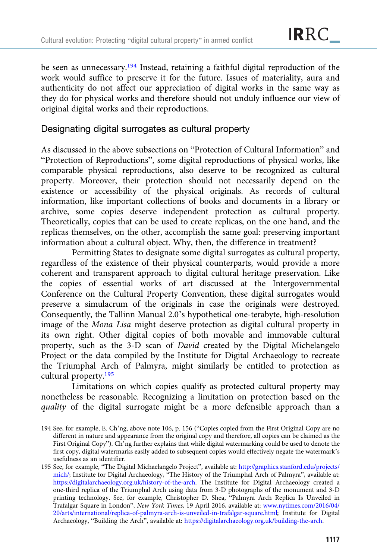be seen as unnecessary.<sup>194</sup> Instead, retaining a faithful digital reproduction of the work would suffice to preserve it for the future. Issues of materiality, aura and authenticity do not affect our appreciation of digital works in the same way as they do for physical works and therefore should not unduly influence our view of original digital works and their reproductions.

#### Designating digital surrogates as cultural property

As discussed in the above subsections on "Protection of Cultural Information" and "Protection of Reproductions", some digital reproductions of physical works, like comparable physical reproductions, also deserve to be recognized as cultural property. Moreover, their protection should not necessarily depend on the existence or accessibility of the physical originals. As records of cultural information, like important collections of books and documents in a library or archive, some copies deserve independent protection as cultural property. Theoretically, copies that can be used to create replicas, on the one hand, and the replicas themselves, on the other, accomplish the same goal: preserving important information about a cultural object. Why, then, the difference in treatment?

Permitting States to designate some digital surrogates as cultural property, regardless of the existence of their physical counterparts, would provide a more coherent and transparent approach to digital cultural heritage preservation. Like the copies of essential works of art discussed at the Intergovernmental Conference on the Cultural Property Convention, these digital surrogates would preserve a simulacrum of the originals in case the originals were destroyed. Consequently, the Tallinn Manual 2.0's hypothetical one-terabyte, high-resolution image of the Mona Lisa might deserve protection as digital cultural property in its own right. Other digital copies of both movable and immovable cultural property, such as the 3-D scan of David created by the Digital Michelangelo Project or the data compiled by the Institute for Digital Archaeology to recreate the Triumphal Arch of Palmyra, might similarly be entitled to protection as cultural property.195

Limitations on which copies qualify as protected cultural property may nonetheless be reasonable. Recognizing a limitation on protection based on the quality of the digital surrogate might be a more defensible approach than a

<sup>194</sup> See, for example, E. Ch'ng, above note 106, p. 156 ("Copies copied from the First Original Copy are no different in nature and appearance from the original copy and therefore, all copies can be claimed as the First Original Copy"). Ch'ng further explains that while digital watermarking could be used to denote the first copy, digital watermarks easily added to subsequent copies would effectively negate the watermark's usefulness as an identifier.

<sup>195</sup> See, for example, "The Digital Michaelangelo Project", available at: [http://graphics.stanford.edu/projects/](http://graphics.stanford.edu/projects/mich/) [mich/;](http://graphics.stanford.edu/projects/mich/) Institute for Digital Archaeology, "The History of the Triumphal Arch of Palmyra", available at: [https://digitalarchaeology.org.uk/history-of-the-arch.](https://digitalarchaeology.org.uk/history-of-the-arch) The Institute for Digital Archaeology created a one-third replica of the Triumphal Arch using data from 3-D photographs of the monument and 3-D printing technology. See, for example, Christopher D. Shea, "Palmyra Arch Replica Is Unveiled in Trafalgar Square in London", New York Times, 19 April 2016, available at: [www.nytimes.com/2016/04/](https://www.nytimes.com/2016/04/20/arts/international/replica-of-palmyra-arch-is-unveiled-in-trafalgar-square.html) [20/arts/international/replica-of-palmyra-arch-is-unveiled-in-trafalgar-square.html](https://www.nytimes.com/2016/04/20/arts/international/replica-of-palmyra-arch-is-unveiled-in-trafalgar-square.html); Institute for Digital Archaeology, "Building the Arch", available at: [https://digitalarchaeology.org.uk/building-the-arch.](https://digitalarchaeology.org.uk/building-the-arch)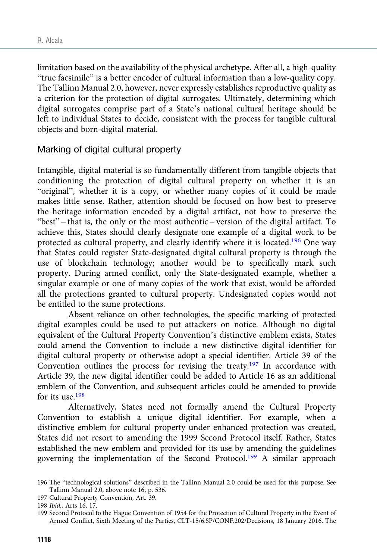limitation based on the availability of the physical archetype. After all, a high-quality "true facsimile" is a better encoder of cultural information than a low-quality copy. The Tallinn Manual 2.0, however, never expressly establishes reproductive quality as a criterion for the protection of digital surrogates. Ultimately, determining which digital surrogates comprise part of a State's national cultural heritage should be left to individual States to decide, consistent with the process for tangible cultural objects and born-digital material.

#### Marking of digital cultural property

Intangible, digital material is so fundamentally different from tangible objects that conditioning the protection of digital cultural property on whether it is an "original", whether it is a copy, or whether many copies of it could be made makes little sense. Rather, attention should be focused on how best to preserve the heritage information encoded by a digital artifact, not how to preserve the "best" – that is, the only or the most authentic – version of the digital artifact. To achieve this, States should clearly designate one example of a digital work to be protected as cultural property, and clearly identify where it is located.<sup>196</sup> One way that States could register State-designated digital cultural property is through the use of blockchain technology; another would be to specifically mark such property. During armed conflict, only the State-designated example, whether a singular example or one of many copies of the work that exist, would be afforded all the protections granted to cultural property. Undesignated copies would not be entitled to the same protections.

Absent reliance on other technologies, the specific marking of protected digital examples could be used to put attackers on notice. Although no digital equivalent of the Cultural Property Convention's distinctive emblem exists, States could amend the Convention to include a new distinctive digital identifier for digital cultural property or otherwise adopt a special identifier. Article 39 of the Convention outlines the process for revising the treaty.<sup>197</sup> In accordance with Article 39, the new digital identifier could be added to Article 16 as an additional emblem of the Convention, and subsequent articles could be amended to provide for its use.198

Alternatively, States need not formally amend the Cultural Property Convention to establish a unique digital identifier. For example, when a distinctive emblem for cultural property under enhanced protection was created, States did not resort to amending the 1999 Second Protocol itself. Rather, States established the new emblem and provided for its use by amending the guidelines governing the implementation of the Second Protocol.<sup>199</sup> A similar approach

<sup>196</sup> The "technological solutions" described in the Tallinn Manual 2.0 could be used for this purpose. See Tallinn Manual 2.0, above note 16, p. 536.

<sup>197</sup> Cultural Property Convention, Art. 39.

<sup>198</sup> Ibid., Arts 16, 17.

<sup>199</sup> Second Protocol to the Hague Convention of 1954 for the Protection of Cultural Property in the Event of Armed Conflict, Sixth Meeting of the Parties, CLT-15/6.SP/CONF.202/Decisions, 18 January 2016. The